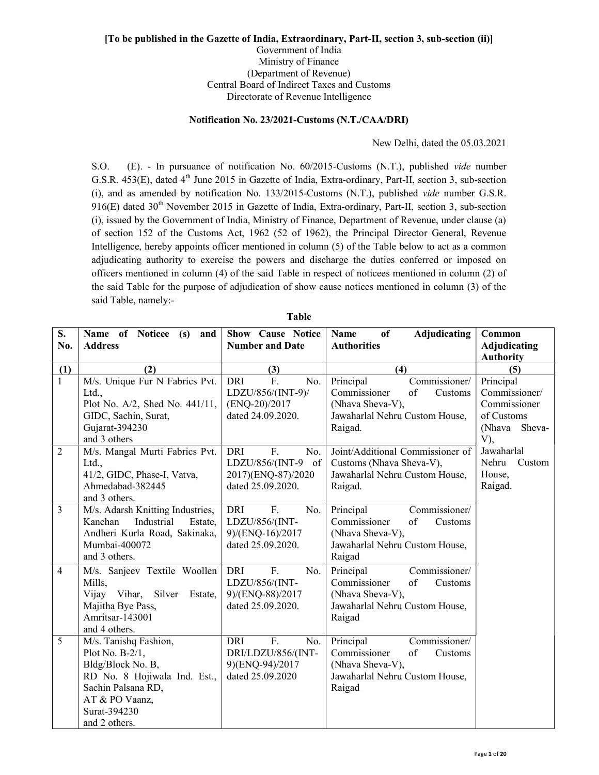## [To be published in the Gazette of India, Extraordinary, Part-II, section 3, sub-section (ii)] Government of India Ministry of Finance (Department of Revenue)

Central Board of Indirect Taxes and Customs Directorate of Revenue Intelligence

## Notification No. 23/2021-Customs (N.T./CAA/DRI)

New Delhi, dated the 05.03.2021

S.O. (E). - In pursuance of notification No. 60/2015-Customs (N.T.), published vide number G.S.R. 453(E), dated 4<sup>th</sup> June 2015 in Gazette of India, Extra-ordinary, Part-II, section 3, sub-section (i), and as amended by notification No. 133/2015-Customs (N.T.), published vide number G.S.R.  $916(E)$  dated  $30<sup>th</sup>$  November 2015 in Gazette of India, Extra-ordinary, Part-II, section 3, sub-section (i), issued by the Government of India, Ministry of Finance, Department of Revenue, under clause (a) of section 152 of the Customs Act, 1962 (52 of 1962), the Principal Director General, Revenue Intelligence, hereby appoints officer mentioned in column (5) of the Table below to act as a common adjudicating authority to exercise the powers and discharge the duties conferred or imposed on officers mentioned in column (4) of the said Table in respect of noticees mentioned in column (2) of the said Table for the purpose of adjudication of show cause notices mentioned in column (3) of the said Table, namely:-

| S.<br>No.           | Name of Noticee (s) and<br><b>Address</b>      | <b>Show Cause Notice</b><br><b>Number and Date</b> | Adjudicating<br>of<br><b>Name</b><br><b>Authorities</b> | Common<br>Adjudicating |
|---------------------|------------------------------------------------|----------------------------------------------------|---------------------------------------------------------|------------------------|
|                     |                                                |                                                    |                                                         | <b>Authority</b>       |
| (1)<br>$\mathbf{1}$ | (2)<br>M/s. Unique Fur N Fabrics Pvt.          | (3)<br>F.<br><b>DRI</b><br>No.                     | (4)<br>Principal<br>Commissioner/                       | (5)<br>Principal       |
|                     | Ltd.,                                          | LDZU/856/(INT-9)/                                  | Commissioner<br>of<br>Customs                           | Commissioner/          |
|                     | Plot No. A/2, Shed No. 441/11,                 | (ENQ-20)/2017                                      | (Nhava Sheva-V),                                        | Commissioner           |
|                     | GIDC, Sachin, Surat,                           | dated 24.09.2020.                                  | Jawaharlal Nehru Custom House,                          | of Customs             |
|                     | Gujarat-394230                                 |                                                    | Raigad.                                                 | (Nhava Sheva-          |
|                     | and 3 others                                   |                                                    |                                                         | V),                    |
| $\overline{2}$      | M/s. Mangal Murti Fabrics Pvt.                 | DRI<br>F.<br>No.                                   | Joint/Additional Commissioner of                        | Jawaharlal             |
|                     | Ltd.,                                          | LDZU/856/(INT-9 of                                 | Customs (Nhava Sheva-V),                                | Nehru<br>Custom        |
|                     | 41/2, GIDC, Phase-I, Vatva,                    | 2017)(ENQ-87)/2020                                 | Jawaharlal Nehru Custom House,                          | House,                 |
|                     | Ahmedabad-382445                               | dated 25.09.2020.                                  | Raigad.                                                 | Raigad.                |
|                     | and 3 others.                                  |                                                    |                                                         |                        |
| 3                   | M/s. Adarsh Knitting Industries,               | <b>DRI</b><br>F.<br>No.                            | Commissioner/<br>Principal                              |                        |
|                     | Kanchan<br>Industrial<br>Estate,               | LDZU/856/(INT-                                     | Commissioner<br>of<br>Customs                           |                        |
|                     | Andheri Kurla Road, Sakinaka,<br>Mumbai-400072 | 9)/(ENQ-16)/2017<br>dated 25.09.2020.              | (Nhava Sheva-V),<br>Jawaharlal Nehru Custom House,      |                        |
|                     | and 3 others.                                  |                                                    | Raigad                                                  |                        |
| $\overline{4}$      | M/s. Sanjeev Textile Woollen                   | <b>DRI</b><br>F.<br>No.                            | Principal<br>Commissioner/                              |                        |
|                     | Mills,                                         | LDZU/856/(INT-                                     | of<br>Commissioner<br>Customs                           |                        |
|                     | Silver<br>Vijay Vihar,<br>Estate,              | 9)/(ENQ-88)/2017                                   | (Nhava Sheva-V),                                        |                        |
|                     | Majitha Bye Pass,                              | dated 25.09.2020.                                  | Jawaharlal Nehru Custom House,                          |                        |
|                     | Amritsar-143001                                |                                                    | Raigad                                                  |                        |
|                     | and 4 others.                                  |                                                    |                                                         |                        |
| $\overline{5}$      | M/s. Tanishq Fashion,                          | $\overline{F}$ .<br><b>DRI</b><br>No.              | Commissioner/<br>Principal                              |                        |
|                     | Plot No. $B-2/1$ ,                             | DRI/LDZU/856/(INT-                                 | Commissioner<br>of<br>Customs                           |                        |
|                     | Bldg/Block No. B,                              | 9)(ENQ-94)/2017                                    | (Nhava Sheva-V),                                        |                        |
|                     | RD No. 8 Hojiwala Ind. Est.,                   | dated 25.09.2020                                   | Jawaharlal Nehru Custom House,                          |                        |
|                     | Sachin Palsana RD,                             |                                                    | Raigad                                                  |                        |
|                     | AT & PO Vaanz,                                 |                                                    |                                                         |                        |
|                     | Surat-394230                                   |                                                    |                                                         |                        |
|                     | and 2 others.                                  |                                                    |                                                         |                        |

| .<br>× | ۰.<br>۰,<br>× |  |
|--------|---------------|--|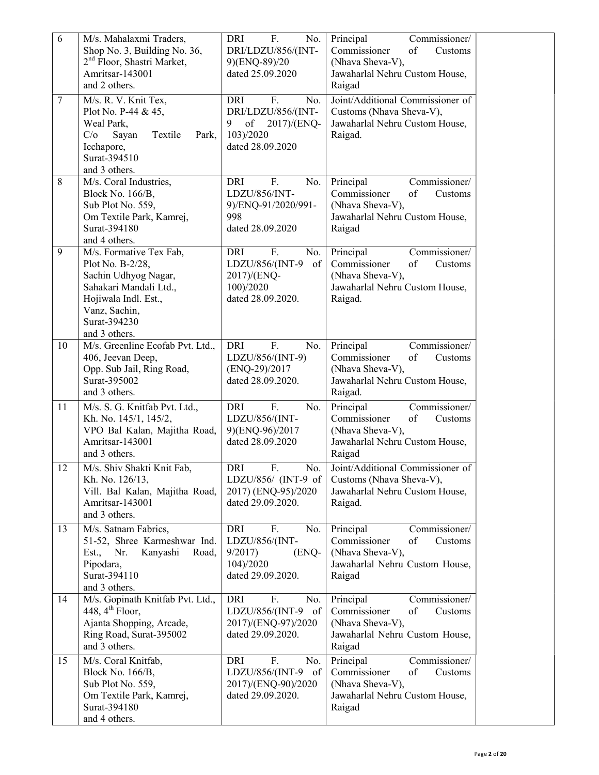| 6      | M/s. Mahalaxmi Traders,                           | F.<br>No.<br>DRI                             | Commissioner/<br>Principal                                   |
|--------|---------------------------------------------------|----------------------------------------------|--------------------------------------------------------------|
|        | Shop No. 3, Building No. 36,                      | DRI/LDZU/856/(INT-                           | Commissioner<br>of<br>Customs                                |
|        | 2 <sup>nd</sup> Floor, Shastri Market,            | 9)(ENQ-89)/20                                | (Nhava Sheva-V),                                             |
|        | Amritsar-143001                                   | dated 25.09.2020                             | Jawaharlal Nehru Custom House,                               |
|        | and 2 others.                                     |                                              | Raigad                                                       |
| $\tau$ | M/s. R. V. Knit Tex,                              | DRI<br>F.<br>No.                             | Joint/Additional Commissioner of                             |
|        | Plot No. P-44 & 45,<br>Weal Park,                 | DRI/LDZU/856/(INT-<br>of<br>2017)/(ENQ-<br>9 | Customs (Nhava Sheva-V),<br>Jawaharlal Nehru Custom House,   |
|        | C/O<br>Sayan<br>Textile<br>Park,                  | 103)/2020                                    | Raigad.                                                      |
|        | Icchapore,                                        | dated 28.09.2020                             |                                                              |
|        | Surat-394510                                      |                                              |                                                              |
|        | and 3 others.                                     |                                              |                                                              |
| 8      | M/s. Coral Industries,                            | <b>DRI</b><br>F.<br>No.                      | Principal<br>Commissioner/                                   |
|        | Block No. 166/B,                                  | LDZU/856/INT-                                | Commissioner<br>of<br>Customs                                |
|        | Sub Plot No. 559,                                 | 9)/ENQ-91/2020/991-                          | (Nhava Sheva-V),                                             |
|        | Om Textile Park, Kamrej,<br>Surat-394180          | 998<br>dated 28.09.2020                      | Jawaharlal Nehru Custom House,                               |
|        | and 4 others.                                     |                                              | Raigad                                                       |
| 9      | M/s. Formative Tex Fab,                           | <b>DRI</b><br>F.<br>No.                      | Principal<br>Commissioner/                                   |
|        | Plot No. B-2/28,                                  | LDZU/856/(INT-9<br>of                        | Commissioner<br>of<br>Customs                                |
|        | Sachin Udhyog Nagar,                              | 2017)/(ENQ-                                  | (Nhava Sheva-V),                                             |
|        | Sahakari Mandali Ltd.,                            | 100)/2020                                    | Jawaharlal Nehru Custom House,                               |
|        | Hojiwala Indl. Est.,                              | dated 28.09.2020.                            | Raigad.                                                      |
|        | Vanz, Sachin,                                     |                                              |                                                              |
|        | Surat-394230<br>and 3 others.                     |                                              |                                                              |
| 10     | M/s. Greenline Ecofab Pvt. Ltd.,                  | F.<br><b>DRI</b><br>No.                      | Principal<br>Commissioner/                                   |
|        | 406, Jeevan Deep,                                 | LDZU/856/(INT-9)                             | Commissioner<br>of<br>Customs                                |
|        | Opp. Sub Jail, Ring Road,                         | (ENQ-29)/2017                                | (Nhava Sheva-V),                                             |
|        | Surat-395002                                      | dated 28.09.2020.                            | Jawaharlal Nehru Custom House,                               |
|        | and 3 others.                                     |                                              | Raigad.                                                      |
| 11     | M/s. S. G. Knitfab Pvt. Ltd.,                     | F.<br>No.<br><b>DRI</b>                      | Principal<br>Commissioner/                                   |
|        | Kh. No. 145/1, 145/2,                             | LDZU/856/(INT-                               | of<br>Commissioner<br>Customs                                |
|        | VPO Bal Kalan, Majitha Road,                      | 9)(ENQ-96)/2017                              | (Nhava Sheva-V),                                             |
|        | Amritsar-143001<br>and 3 others.                  | dated 28.09.2020                             | Jawaharlal Nehru Custom House,<br>Raigad                     |
|        |                                                   |                                              |                                                              |
| 12     | M/s. Shiv Shakti Knit Fab,<br>Kh. No. 126/13,     | DRI<br>F.<br>No.<br>LDZU/856/ (INT-9 of      | Joint/Additional Commissioner of<br>Customs (Nhava Sheva-V), |
|        | Vill. Bal Kalan, Majitha Road,                    | 2017) (ENQ-95)/2020                          | Jawaharlal Nehru Custom House,                               |
|        | Amritsar-143001                                   | dated 29.09.2020.                            | Raigad.                                                      |
|        | and 3 others.                                     |                                              |                                                              |
| 13     | M/s. Satnam Fabrics,                              | <b>DRI</b><br>F.<br>No.                      | Principal<br>Commissioner/                                   |
|        | 51-52, Shree Karmeshwar Ind.                      | LDZU/856/(INT-                               | Commissioner<br>of<br>Customs                                |
|        | Kanyashi<br>Est.,<br>Nr.<br>Road,                 | 9/2017<br>(ENQ-                              | (Nhava Sheva-V),                                             |
|        | Pipodara,                                         | 104)/2020                                    | Jawaharlal Nehru Custom House,                               |
|        | Surat-394110                                      | dated 29.09.2020.                            | Raigad                                                       |
| 14     | and 3 others.<br>M/s. Gopinath Knitfab Pvt. Ltd., | <b>DRI</b><br>F.<br>No.                      | Commissioner/<br>Principal                                   |
|        | 448, $4^{\text{th}}$ Floor,                       | LDZU/856/(INT-9 of                           | Commissioner<br>of<br>Customs                                |
|        | Ajanta Shopping, Arcade,                          | 2017)/(ENQ-97)/2020                          | (Nhava Sheva-V),                                             |
|        | Ring Road, Surat-395002                           | dated 29.09.2020.                            | Jawaharlal Nehru Custom House,                               |
|        | and 3 others.                                     |                                              | Raigad                                                       |
| 15     | M/s. Coral Knitfab,                               | F.<br>DRI<br>No.                             | Commissioner/<br>Principal                                   |
|        | Block No. 166/B,                                  | LDZU/856/(INT-9<br>of                        | Commissioner<br>of<br>Customs                                |
|        | Sub Plot No. 559,                                 | 2017)/(ENQ-90)/2020                          | (Nhava Sheva-V),                                             |
|        | Om Textile Park, Kamrej,                          | dated 29.09.2020.                            | Jawaharlal Nehru Custom House,                               |
|        | Surat-394180                                      |                                              | Raigad                                                       |
|        | and 4 others.                                     |                                              |                                                              |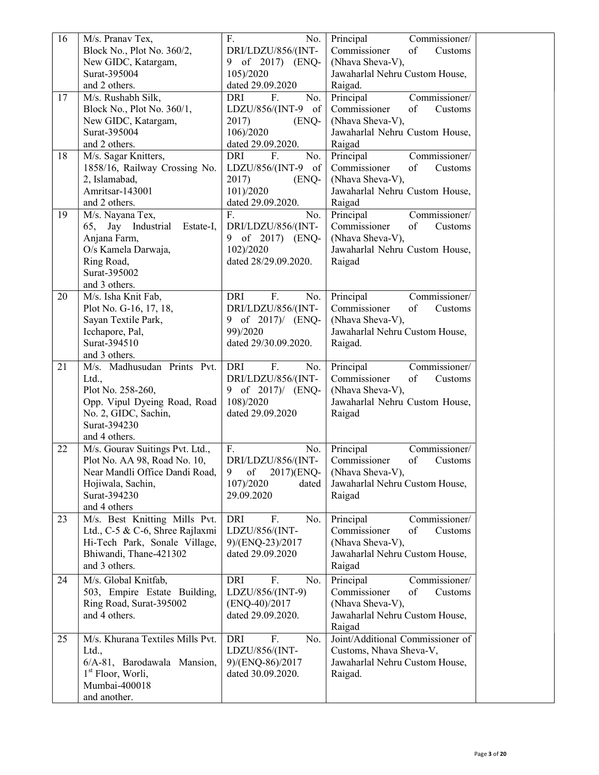| 16       | M/s. Pranav Tex,                               | F.<br>No.               | Principal<br>Commissioner/       |
|----------|------------------------------------------------|-------------------------|----------------------------------|
|          | Block No., Plot No. 360/2,                     | DRI/LDZU/856/(INT-      | Commissioner<br>of<br>Customs    |
|          | New GIDC, Katargam,                            | 9 of 2017) (ENQ-        | (Nhava Sheva-V),                 |
|          | Surat-395004                                   | 105)/2020               | Jawaharlal Nehru Custom House,   |
|          | and 2 others.                                  | dated 29.09.2020        | Raigad.                          |
| 17       | M/s. Rushabh Silk,                             | DRI<br>F.<br>No.        | Commissioner/<br>Principal       |
|          | Block No., Plot No. 360/1,                     | LDZU/856/(INT-9 of      | Commissioner<br>of<br>Customs    |
|          | New GIDC, Katargam,                            | 2017)<br>(ENQ-          | (Nhava Sheva-V),                 |
|          | Surat-395004                                   |                         | Jawaharlal Nehru Custom House,   |
|          |                                                | 106)/2020               |                                  |
|          | and 2 others.                                  | dated 29.09.2020.       | Raigad                           |
| 18       | M/s. Sagar Knitters,                           | DRI<br>F.<br>No.        | Principal<br>Commissioner/       |
|          | 1858/16, Railway Crossing No.                  | LDZU/856/(INT-9 of      | Commissioner<br>of<br>Customs    |
|          | 2, Islamabad,                                  | 2017)<br>(ENQ-          | (Nhava Sheva-V),                 |
|          | Amritsar-143001                                | 101)/2020               | Jawaharlal Nehru Custom House,   |
|          | and 2 others.                                  | dated 29.09.2020.       | Raigad                           |
| 19       | M/s. Nayana Tex,                               | F.<br>No.               | Principal<br>Commissioner/       |
|          | 65, Jay Industrial<br>Estate-I,                | DRI/LDZU/856/(INT-      | Commissioner<br>of<br>Customs    |
|          | Anjana Farm,                                   | 9 of 2017) (ENQ-        | (Nhava Sheva-V),                 |
|          | O/s Kamela Darwaja,                            | 102)/2020               | Jawaharlal Nehru Custom House,   |
|          |                                                | dated 28/29.09.2020.    |                                  |
|          | Ring Road,                                     |                         | Raigad                           |
|          | Surat-395002                                   |                         |                                  |
|          | and 3 others.                                  |                         |                                  |
| 20       | M/s. Isha Knit Fab,                            | F.<br><b>DRI</b><br>No. | Commissioner/<br>Principal       |
|          | Plot No. G-16, 17, 18,                         | DRI/LDZU/856/(INT-      | Commissioner<br>of<br>Customs    |
|          | Sayan Textile Park,                            | 9 of 2017)/ (ENQ-       | (Nhava Sheva-V),                 |
|          | Icchapore, Pal,                                | 99)/2020                | Jawaharlal Nehru Custom House,   |
|          | Surat-394510                                   | dated 29/30.09.2020.    | Raigad.                          |
|          | and 3 others.                                  |                         |                                  |
| 21       | M/s. Madhusudan Prints Pvt.                    | <b>DRI</b><br>F.<br>No. | Commissioner/<br>Principal       |
|          | Ltd.,                                          | DRI/LDZU/856/(INT-      | Commissioner<br>of<br>Customs    |
|          |                                                |                         |                                  |
|          | Plot No. 258-260,                              | 9 of 2017)/ (ENQ-       | (Nhava Sheva-V),                 |
|          | Opp. Vipul Dyeing Road, Road                   | 108)/2020               | Jawaharlal Nehru Custom House,   |
|          | No. 2, GIDC, Sachin,                           | dated 29.09.2020        | Raigad                           |
|          | Surat-394230                                   |                         |                                  |
|          | and 4 others.                                  |                         |                                  |
| 22       | M/s. Gourav Suitings Pvt. Ltd.,                | F.<br>No.               | Principal<br>Commissioner/       |
|          | Plot No. AA 98, Road No. 10,                   | DRI/LDZU/856/(INT-      | Commissioner<br>of<br>Customs    |
|          | Near Mandli Office Dandi Road, 9 of 2017)(ENQ- |                         | (Nhava Sheva-V),                 |
|          | Hojiwala, Sachin,                              | 107)/2020<br>dated      | Jawaharlal Nehru Custom House,   |
|          |                                                |                         |                                  |
|          |                                                |                         |                                  |
|          | Surat-394230                                   | 29.09.2020              | Raigad                           |
|          | and 4 others                                   |                         |                                  |
|          | M/s. Best Knitting Mills Pvt.                  | F.<br>DRI<br>No.        | Principal<br>Commissioner/       |
|          | Ltd., C-5 & C-6, Shree Rajlaxmi                | LDZU/856/(INT-          | Commissioner<br>of<br>Customs    |
|          | Hi-Tech Park, Sonale Village,                  | 9)/(ENQ-23)/2017        | (Nhava Sheva-V),                 |
|          | Bhiwandi, Thane-421302                         | dated 29.09.2020        | Jawaharlal Nehru Custom House,   |
|          | and 3 others.                                  |                         | Raigad                           |
|          |                                                | F.                      |                                  |
|          | M/s. Global Knitfab,                           | DRI<br>No.              | Principal<br>Commissioner/       |
|          | 503, Empire Estate Building,                   | LDZU/856/(INT-9)        | Commissioner<br>of<br>Customs    |
|          | Ring Road, Surat-395002                        | $(ENQ-40)/2017$         | (Nhava Sheva-V),                 |
|          | and 4 others.                                  | dated 29.09.2020.       | Jawaharlal Nehru Custom House,   |
| 23<br>24 |                                                |                         | Raigad                           |
| 25       | M/s. Khurana Textiles Mills Pvt.               | F.<br>DRI<br>No.        | Joint/Additional Commissioner of |
|          | Ltd.,                                          | LDZU/856/(INT-          | Customs, Nhava Sheva-V,          |
|          | 6/A-81, Barodawala Mansion,                    | 9)/(ENQ-86)/2017        | Jawaharlal Nehru Custom House,   |
|          | $1st$ Floor, Worli,                            | dated 30.09.2020.       | Raigad.                          |
|          | Mumbai-400018                                  |                         |                                  |
|          | and another.                                   |                         |                                  |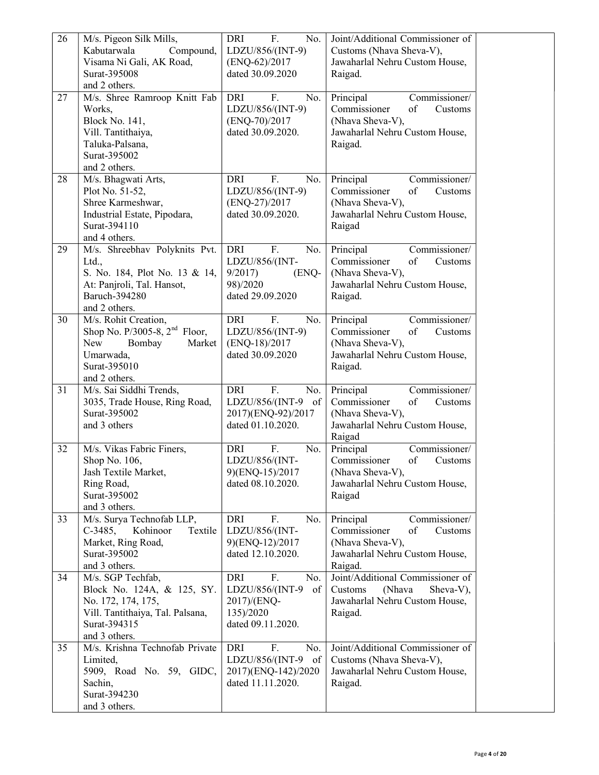| 26 | M/s. Pigeon Silk Mills,                                  | F.<br><b>DRI</b><br>No. | Joint/Additional Commissioner of           |  |
|----|----------------------------------------------------------|-------------------------|--------------------------------------------|--|
|    | Kabutarwala<br>Compound,                                 | LDZU/856/(INT-9)        | Customs (Nhava Sheva-V),                   |  |
|    | Visama Ni Gali, AK Road,                                 | (ENQ-62)/2017           | Jawaharlal Nehru Custom House,             |  |
|    | Surat-395008                                             | dated 30.09.2020        | Raigad.                                    |  |
|    | and 2 others.                                            |                         |                                            |  |
| 27 | M/s. Shree Ramroop Knitt Fab                             | DRI<br>F.<br>No.        | Commissioner/<br>Principal                 |  |
|    | Works,                                                   | LDZU/856/(INT-9)        | Commissioner<br>of<br>Customs              |  |
|    | <b>Block No. 141,</b>                                    | (ENQ-70)/2017           | (Nhava Sheva-V),                           |  |
|    | Vill. Tantithaiya,                                       | dated 30.09.2020.       | Jawaharlal Nehru Custom House,             |  |
|    | Taluka-Palsana,                                          |                         | Raigad.                                    |  |
|    | Surat-395002                                             |                         |                                            |  |
|    | and 2 others.                                            |                         |                                            |  |
| 28 | M/s. Bhagwati Arts,                                      | <b>DRI</b><br>F.<br>No. | Principal<br>Commissioner/                 |  |
|    | Plot No. 51-52,                                          | LDZU/856/(INT-9)        | Commissioner<br>of<br>Customs              |  |
|    | Shree Karmeshwar,                                        | (ENQ-27)/2017           | (Nhava Sheva-V),                           |  |
|    | Industrial Estate, Pipodara,                             | dated 30.09.2020.       | Jawaharlal Nehru Custom House,             |  |
|    | Surat-394110                                             |                         | Raigad                                     |  |
|    | and 4 others.                                            |                         |                                            |  |
| 29 | M/s. Shreebhav Polyknits Pvt.                            | <b>DRI</b><br>F.<br>No. | Commissioner/<br>Principal                 |  |
|    | Ltd.,                                                    | LDZU/856/(INT-          | Commissioner<br>of<br>Customs              |  |
|    | S. No. 184, Plot No. 13 & 14,                            | 9/2017<br>(ENQ-         | (Nhava Sheva-V),                           |  |
|    | At: Panjroli, Tal. Hansot,                               | 98)/2020                | Jawaharlal Nehru Custom House,             |  |
|    | Baruch-394280                                            | dated 29.09.2020        | Raigad.                                    |  |
|    | and 2 others.                                            |                         |                                            |  |
| 30 | M/s. Rohit Creation,                                     | <b>DRI</b><br>F.<br>No. | Commissioner/<br>Principal                 |  |
|    | Shop No. P/3005-8, 2 <sup>nd</sup> Floor,                | LDZU/856/(INT-9)        | Commissioner<br>of<br>Customs              |  |
|    | New<br>Bombay<br>Market                                  | (ENQ-18)/2017           | (Nhava Sheva-V),                           |  |
|    | Umarwada,<br>Surat-395010                                | dated 30.09.2020        | Jawaharlal Nehru Custom House,             |  |
|    | and 2 others.                                            |                         | Raigad.                                    |  |
| 31 |                                                          | F.<br><b>DRI</b><br>No. | Commissioner/                              |  |
|    | M/s. Sai Siddhi Trends,<br>3035, Trade House, Ring Road, | LDZU/856/(INT-9 of      | Principal<br>Commissioner<br>of<br>Customs |  |
|    | Surat-395002                                             | 2017)(ENQ-92)/2017      | (Nhava Sheva-V),                           |  |
|    | and 3 others                                             | dated 01.10.2020.       | Jawaharlal Nehru Custom House,             |  |
|    |                                                          |                         | Raigad                                     |  |
| 32 | M/s. Vikas Fabric Finers,                                | DRI<br>F.<br>No.        | Principal<br>Commissioner/                 |  |
|    | Shop No. 106,                                            | LDZU/856/(INT-          | Commissioner<br>of<br>Customs              |  |
|    | Jash Textile Market,                                     | 9)(ENQ-15)/2017         | (Nhava Sheva-V),                           |  |
|    | Ring Road,                                               | dated 08.10.2020.       | Jawaharlal Nehru Custom House,             |  |
|    | Surat-395002                                             |                         | Raigad                                     |  |
|    | and 3 others.                                            |                         |                                            |  |
| 33 | M/s. Surya Technofab LLP,                                | <b>DRI</b><br>F.<br>No. | Principal<br>Commissioner/                 |  |
|    | $C-3485,$<br>Kohinoor<br>Textile                         | LDZU/856/(INT-          | Commissioner<br>of<br>Customs              |  |
|    | Market, Ring Road,                                       | 9)(ENQ-12)/2017         | (Nhava Sheva-V),                           |  |
|    | Surat-395002                                             | dated 12.10.2020.       | Jawaharlal Nehru Custom House,             |  |
|    | and 3 others.                                            |                         | Raigad.                                    |  |
| 34 | M/s. SGP Techfab,                                        | F.<br><b>DRI</b><br>No. | Joint/Additional Commissioner of           |  |
|    | Block No. 124A, & 125, SY.                               | LDZU/856/(INT-9<br>of   | Sheva-V),<br>(Nhava<br>Customs             |  |
|    | No. 172, 174, 175,                                       | 2017)/(ENQ-             | Jawaharlal Nehru Custom House,             |  |
|    | Vill. Tantithaiya, Tal. Palsana,                         | 135)/2020               | Raigad.                                    |  |
|    | Surat-394315                                             | dated 09.11.2020.       |                                            |  |
|    | and 3 others.                                            |                         |                                            |  |
| 35 | M/s. Krishna Technofab Private                           | F.<br>DRI<br>No.        | Joint/Additional Commissioner of           |  |
|    | Limited,                                                 | LDZU/856/(INT-9<br>of   | Customs (Nhava Sheva-V),                   |  |
|    | 5909, Road No. 59, GIDC,                                 | 2017)(ENQ-142)/2020     | Jawaharlal Nehru Custom House,             |  |
|    | Sachin,                                                  | dated 11.11.2020.       | Raigad.                                    |  |
|    | Surat-394230                                             |                         |                                            |  |
|    | and 3 others.                                            |                         |                                            |  |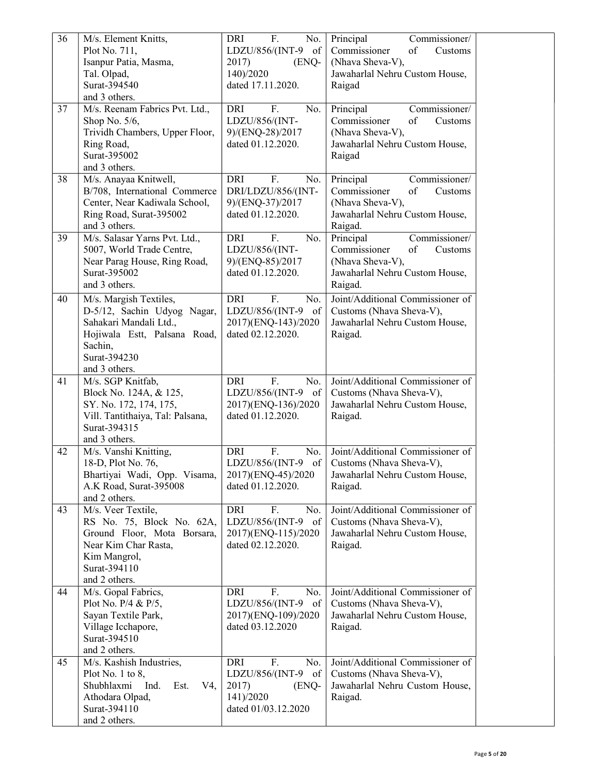| 36 | M/s. Element Knitts,                             | F.<br>No.<br>DRI                         | Principal<br>Commissioner/       |  |
|----|--------------------------------------------------|------------------------------------------|----------------------------------|--|
|    | Plot No. 711,                                    | LDZU/856/(INT-9<br>of                    | Commissioner<br>of<br>Customs    |  |
|    | Isanpur Patia, Masma,                            | 2017)<br>(ENQ-                           | (Nhava Sheva-V),                 |  |
|    | Tal. Olpad,                                      | 140)/2020                                | Jawaharlal Nehru Custom House,   |  |
|    | Surat-394540                                     | dated 17.11.2020.                        | Raigad                           |  |
|    | and 3 others.                                    |                                          |                                  |  |
| 37 | M/s. Reenam Fabrics Pvt. Ltd.,                   | <b>DRI</b><br>F.<br>No.                  | Commissioner/<br>Principal       |  |
|    | Shop No. $5/6$ ,                                 | LDZU/856/(INT-                           | Commissioner<br>of<br>Customs    |  |
|    | Trividh Chambers, Upper Floor,                   | 9)/(ENQ-28)/2017                         | (Nhava Sheva-V),                 |  |
|    | Ring Road,                                       | dated 01.12.2020.                        | Jawaharlal Nehru Custom House,   |  |
|    | Surat-395002                                     |                                          | Raigad                           |  |
|    | and 3 others.                                    |                                          |                                  |  |
| 38 | M/s. Anayaa Knitwell,                            | <b>DRI</b><br>F.<br>No.                  | Commissioner/<br>Principal       |  |
|    | B/708, International Commerce                    | DRI/LDZU/856/(INT-                       | Commissioner<br>of<br>Customs    |  |
|    | Center, Near Kadiwala School,                    | 9)/(ENQ-37)/2017                         | (Nhava Sheva-V),                 |  |
|    | Ring Road, Surat-395002                          | dated 01.12.2020.                        | Jawaharlal Nehru Custom House,   |  |
|    | and 3 others.                                    |                                          | Raigad.                          |  |
| 39 | M/s. Salasar Yarns Pvt. Ltd.,                    | <b>DRI</b><br>F.<br>No.                  | Principal<br>Commissioner/       |  |
|    | 5007, World Trade Centre,                        | LDZU/856/(INT-                           | Commissioner<br>of<br>Customs    |  |
|    | Near Parag House, Ring Road,                     | 9)/(ENQ-85)/2017                         | (Nhava Sheva-V),                 |  |
|    | Surat-395002                                     | dated 01.12.2020.                        | Jawaharlal Nehru Custom House,   |  |
|    | and 3 others.                                    |                                          | Raigad.                          |  |
| 40 | M/s. Margish Textiles,                           | <b>DRI</b><br>F.<br>No.                  | Joint/Additional Commissioner of |  |
|    | D-5/12, Sachin Udyog Nagar,                      | LDZU/856/(INT-9 of                       | Customs (Nhava Sheva-V),         |  |
|    | Sahakari Mandali Ltd.,                           |                                          |                                  |  |
|    | Hojiwala Estt, Palsana Road,                     | 2017)(ENQ-143)/2020<br>dated 02.12.2020. | Jawaharlal Nehru Custom House,   |  |
|    | Sachin,                                          |                                          | Raigad.                          |  |
|    | Surat-394230                                     |                                          |                                  |  |
|    | and 3 others.                                    |                                          |                                  |  |
| 41 |                                                  | F.<br><b>DRI</b><br>No.                  | Joint/Additional Commissioner of |  |
|    | M/s. SGP Knitfab,                                |                                          |                                  |  |
|    | Block No. 124A, & 125,                           | LDZU/856/(INT-9 of                       | Customs (Nhava Sheva-V),         |  |
|    | SY. No. 172, 174, 175,                           | 2017)(ENQ-136)/2020<br>dated 01.12.2020. | Jawaharlal Nehru Custom House,   |  |
|    | Vill. Tantithaiya, Tal: Palsana,<br>Surat-394315 |                                          | Raigad.                          |  |
|    | and 3 others.                                    |                                          |                                  |  |
| 42 | M/s. Vanshi Knitting,                            | <b>DRI</b><br>F.<br>No.                  | Joint/Additional Commissioner of |  |
|    | 18-D, Plot No. 76,                               | LDZU/856/(INT-9<br>of                    | Customs (Nhava Sheva-V),         |  |
|    | Bhartiyai Wadi, Opp. Visama,                     | 2017)(ENQ-45)/2020                       | Jawaharlal Nehru Custom House,   |  |
|    | A.K Road, Surat-395008                           | dated 01.12.2020.                        | Raigad.                          |  |
|    | and 2 others.                                    |                                          |                                  |  |
| 43 | M/s. Veer Textile,                               | <b>DRI</b><br>F.<br>No.                  | Joint/Additional Commissioner of |  |
|    | RS No. 75, Block No. 62A,                        | LDZU/856/(INT-9<br>of                    | Customs (Nhava Sheva-V),         |  |
|    | Ground Floor, Mota Borsara,                      | 2017)(ENQ-115)/2020                      | Jawaharlal Nehru Custom House,   |  |
|    | Near Kim Char Rasta,                             | dated 02.12.2020.                        | Raigad.                          |  |
|    | Kim Mangrol,                                     |                                          |                                  |  |
|    | Surat-394110                                     |                                          |                                  |  |
|    | and 2 others.                                    |                                          |                                  |  |
| 44 | M/s. Gopal Fabrics,                              | DRI<br>F.<br>No.                         | Joint/Additional Commissioner of |  |
|    | Plot No. P/4 & P/5,                              | LDZU/856/(INT-9<br>of                    | Customs (Nhava Sheva-V),         |  |
|    | Sayan Textile Park,                              | 2017)(ENQ-109)/2020                      | Jawaharlal Nehru Custom House,   |  |
|    | Village Icchapore,                               | dated 03.12.2020                         | Raigad.                          |  |
|    | Surat-394510                                     |                                          |                                  |  |
|    | and 2 others.                                    |                                          |                                  |  |
| 45 | M/s. Kashish Industries,                         | DRI<br>F.<br>No.                         | Joint/Additional Commissioner of |  |
|    | Plot No. 1 to 8,                                 | LDZU/856/(INT-9<br>of                    | Customs (Nhava Sheva-V),         |  |
|    | Shubhlaxmi<br>Ind.<br>Est.<br>$V4$ ,             | 2017)<br>(ENQ-                           | Jawaharlal Nehru Custom House,   |  |
|    | Athodara Olpad,                                  | 141)/2020                                | Raigad.                          |  |
|    | Surat-394110                                     | dated 01/03.12.2020                      |                                  |  |
|    | and 2 others.                                    |                                          |                                  |  |
|    |                                                  |                                          |                                  |  |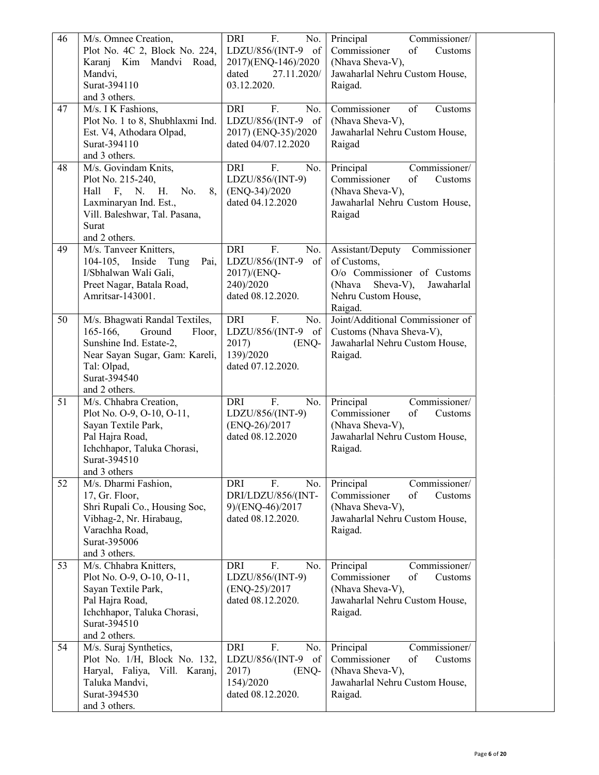| 46 | M/s. Omnee Creation,                 | DRI<br>F.<br>No.        | Commissioner/<br>Principal        |  |
|----|--------------------------------------|-------------------------|-----------------------------------|--|
|    | Plot No. 4C 2, Block No. 224,        | LDZU/856/(INT-9 of      | Commissioner<br>of<br>Customs     |  |
|    | Karanj Kim Mandvi Road,              | 2017)(ENQ-146)/2020     | (Nhava Sheva-V),                  |  |
|    | Mandvi,                              | dated<br>27.11.2020/    | Jawaharlal Nehru Custom House,    |  |
|    | Surat-394110                         | 03.12.2020.             | Raigad.                           |  |
|    | and 3 others.                        |                         |                                   |  |
| 47 | M/s. I K Fashions,                   | <b>DRI</b><br>F.<br>No. | Commissioner<br>of<br>Customs     |  |
|    | Plot No. 1 to 8, Shubhlaxmi Ind.     | LDZU/856/(INT-9 of      | (Nhava Sheva-V),                  |  |
|    | Est. V4, Athodara Olpad,             | 2017) (ENQ-35)/2020     | Jawaharlal Nehru Custom House,    |  |
|    | Surat-394110                         | dated 04/07.12.2020     | Raigad                            |  |
|    | and 3 others.                        |                         |                                   |  |
| 48 | M/s. Govindam Knits,                 | DRI<br>F.<br>No.        | Commissioner/<br>Principal        |  |
|    | Plot No. 215-240,                    | LDZU/856/(INT-9)        | Commissioner<br>of<br>Customs     |  |
|    | Hall F, N.<br>Н.<br>No.<br>8,        | $(ENQ-34)/2020$         | (Nhava Sheva-V),                  |  |
|    | Laxminaryan Ind. Est.,               | dated 04.12.2020        | Jawaharlal Nehru Custom House,    |  |
|    | Vill. Baleshwar, Tal. Pasana,        |                         | Raigad                            |  |
|    | Surat                                |                         |                                   |  |
|    | and 2 others.                        |                         |                                   |  |
| 49 | M/s. Tanveer Knitters,               | <b>DRI</b><br>F.<br>No. | Commissioner<br>Assistant/Deputy  |  |
|    | $104-105,$<br>Inside<br>Tung<br>Pai, | LDZU/856/(INT-9<br>of   | of Customs,                       |  |
|    | I/Sbhalwan Wali Gali,                | 2017)/(ENQ-             | O/o Commissioner of Customs       |  |
|    | Preet Nagar, Batala Road,            | 240)/2020               | (Nhava<br>Sheva-V),<br>Jawaharlal |  |
|    | Amritsar-143001.                     | dated 08.12.2020.       | Nehru Custom House,               |  |
|    |                                      |                         | Raigad.                           |  |
| 50 | M/s. Bhagwati Randal Textiles,       | DRI<br>F.<br>No.        | Joint/Additional Commissioner of  |  |
|    | Ground<br>$165-166$ ,<br>Floor,      | LDZU/856/(INT-9 of      | Customs (Nhava Sheva-V),          |  |
|    | Sunshine Ind. Estate-2,              | 2017)<br>(ENQ-          | Jawaharlal Nehru Custom House,    |  |
|    | Near Sayan Sugar, Gam: Kareli,       | 139)/2020               | Raigad.                           |  |
|    | Tal: Olpad,                          | dated 07.12.2020.       |                                   |  |
|    | Surat-394540                         |                         |                                   |  |
|    | and 2 others.                        |                         |                                   |  |
| 51 | M/s. Chhabra Creation,               | F.<br><b>DRI</b><br>No. | Principal<br>Commissioner/        |  |
|    | Plot No. O-9, O-10, O-11,            | LDZU/856/(INT-9)        | Commissioner<br>of<br>Customs     |  |
|    | Sayan Textile Park,                  | (ENQ-26)/2017           | (Nhava Sheva-V),                  |  |
|    | Pal Hajra Road,                      | dated 08.12.2020        | Jawaharlal Nehru Custom House,    |  |
|    |                                      |                         |                                   |  |
|    | Ichchhapor, Taluka Chorasi,          |                         | Raigad.                           |  |
|    | Surat-394510                         |                         |                                   |  |
|    | and 3 others                         |                         |                                   |  |
| 52 | M/s. Dharmi Fashion,                 | F.<br><b>DRI</b><br>No. | Principal<br>Commissioner/        |  |
|    | 17, Gr. Floor,                       | DRI/LDZU/856/(INT-      | Commissioner<br>of<br>Customs     |  |
|    | Shri Rupali Co., Housing Soc,        | 9)/(ENQ-46)/2017        | (Nhava Sheva-V),                  |  |
|    | Vibhag-2, Nr. Hirabaug,              | dated 08.12.2020.       | Jawaharlal Nehru Custom House,    |  |
|    | Varachha Road,                       |                         | Raigad.                           |  |
|    | Surat-395006                         |                         |                                   |  |
|    | and 3 others.                        |                         |                                   |  |
| 53 | M/s. Chhabra Knitters,               | F.<br><b>DRI</b><br>No. | Principal<br>Commissioner/        |  |
|    | Plot No. O-9, O-10, O-11,            | LDZU/856/(INT-9)        | Commissioner<br>of<br>Customs     |  |
|    | Sayan Textile Park,                  | $(ENQ-25)/2017$         | (Nhava Sheva-V),                  |  |
|    | Pal Hajra Road,                      | dated 08.12.2020.       | Jawaharlal Nehru Custom House,    |  |
|    | Ichchhapor, Taluka Chorasi,          |                         | Raigad.                           |  |
|    | Surat-394510                         |                         |                                   |  |
|    | and 2 others.                        |                         |                                   |  |
| 54 | M/s. Suraj Synthetics,               | F.<br><b>DRI</b><br>No. | Principal<br>Commissioner/        |  |
|    | Plot No. 1/H, Block No. 132,         | LDZU/856/(INT-9<br>of   | Commissioner<br>of<br>Customs     |  |
|    | Haryal, Faliya, Vill. Karanj,        | 2017)<br>(ENQ-          | (Nhava Sheva-V),                  |  |
|    | Taluka Mandvi,                       | 154)/2020               | Jawaharlal Nehru Custom House,    |  |
|    | Surat-394530<br>and 3 others.        | dated 08.12.2020.       | Raigad.                           |  |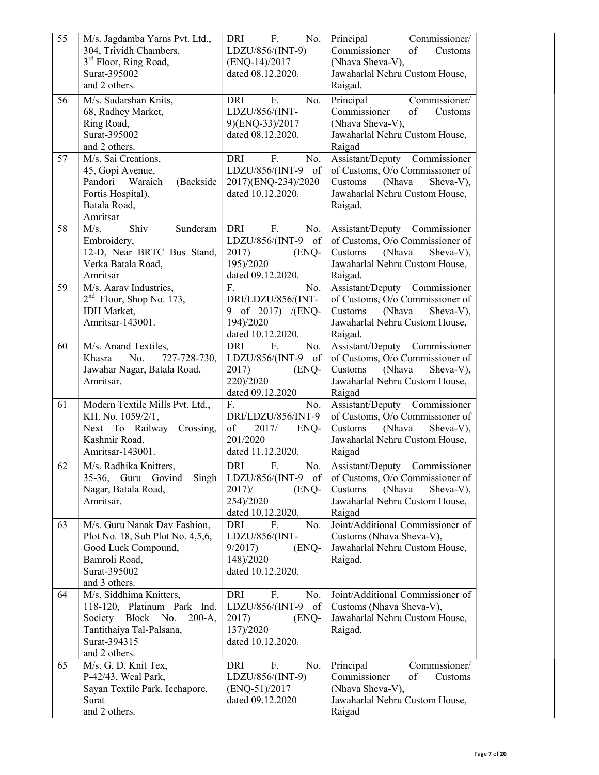| 55 | M/s. Jagdamba Yarns Pvt. Ltd.,<br>304, Trividh Chambers,<br>3 <sup>rd</sup> Floor, Ring Road,<br>Surat-395002<br>and 2 others.                          | F.<br>No.<br>DRI<br>LDZU/856/(INT-9)<br>(ENQ-14)/2017<br>dated 08.12.2020.                        | Principal<br>Commissioner/<br>Commissioner<br>of<br>Customs<br>(Nhava Sheva-V),<br>Jawaharlal Nehru Custom House,<br>Raigad.                      |  |
|----|---------------------------------------------------------------------------------------------------------------------------------------------------------|---------------------------------------------------------------------------------------------------|---------------------------------------------------------------------------------------------------------------------------------------------------|--|
| 56 | M/s. Sudarshan Knits,<br>68, Radhey Market,<br>Ring Road,<br>Surat-395002<br>and 2 others.                                                              | <b>DRI</b><br>F.<br>No.<br>LDZU/856/(INT-<br>9)(ENQ-33)/2017<br>dated 08.12.2020.                 | Principal<br>Commissioner/<br>Commissioner<br>of<br>Customs<br>(Nhava Sheva-V),<br>Jawaharlal Nehru Custom House,<br>Raigad                       |  |
| 57 | M/s. Sai Creations,<br>45, Gopi Avenue,<br>Pandori<br>Waraich<br>(Backside<br>Fortis Hospital),<br>Batala Road,<br>Amritsar                             | <b>DRI</b><br>No.<br>F.<br>LDZU/856/(INT-9<br>of<br>2017)(ENQ-234)/2020<br>dated 10.12.2020.      | Assistant/Deputy Commissioner<br>of Customs, O/o Commissioner of<br>Customs<br>(Nhava<br>Sheva-V),<br>Jawaharlal Nehru Custom House,<br>Raigad.   |  |
| 58 | Shiv<br>M/s.<br>Sunderam<br>Embroidery,<br>12-D, Near BRTC Bus Stand,<br>Verka Batala Road,<br>Amritsar                                                 | <b>DRI</b><br>F.<br>No.<br>LDZU/856/(INT-9 of<br>2017)<br>(ENQ-<br>195)/2020<br>dated 09.12.2020. | Assistant/Deputy Commissioner<br>of Customs, O/o Commissioner of<br>Customs<br>(Nhava<br>Sheva-V),<br>Jawaharlal Nehru Custom House,<br>Raigad.   |  |
| 59 | M/s. Aarav Industries,<br>$2nd$ Floor, Shop No. 173,<br><b>IDH</b> Market,<br>Amritsar-143001.                                                          | F.<br>No.<br>DRI/LDZU/856/(INT-<br>9 of 2017) /(ENQ-<br>194)/2020<br>dated 10.12.2020.            | Assistant/Deputy Commissioner<br>of Customs, O/o Commissioner of<br>Customs<br>(Nhava<br>Sheva-V),<br>Jawaharlal Nehru Custom House,<br>Raigad.   |  |
| 60 | M/s. Anand Textiles,<br>Khasra<br>No.<br>727-728-730,<br>Jawahar Nagar, Batala Road,<br>Amritsar.                                                       | F.<br>DRI<br>No.<br>LDZU/856/(INT-9 of<br>(ENQ-<br>2017)<br>220)/2020<br>dated 09.12.2020         | Assistant/Deputy Commissioner<br>of Customs, O/o Commissioner of<br>Customs<br>(Nhava<br>Sheva-V),<br>Jawaharlal Nehru Custom House,<br>Raigad    |  |
| 61 | Modern Textile Mills Pvt. Ltd.,<br>KH. No. 1059/2/1,<br>Next To Railway Crossing,<br>Kashmir Road,<br>Amritsar-143001.                                  | F.<br>No.<br>DRI/LDZU/856/INT-9<br>of<br>2017/<br>ENQ-<br>201/2020<br>dated 11.12.2020.           | Assistant/Deputy Commissioner<br>of Customs, O/o Commissioner of<br>Customs<br>(Nhava<br>Sheva-V),<br>Jawaharlal Nehru Custom House,<br>Raigad    |  |
| 62 | M/s. Radhika Knitters,<br>35-36, Guru Govind<br>Singh<br>Nagar, Batala Road,<br>Amritsar.                                                               | F.<br><b>DRI</b><br>No.<br>LDZU/856/(INT-9 of<br>2017<br>(ENQ-<br>254)/2020<br>dated 10.12.2020.  | Assistant/Deputy<br>Commissioner<br>of Customs, O/o Commissioner of<br>(Nhava<br>Sheva-V),<br>Customs<br>Jawaharlal Nehru Custom House,<br>Raigad |  |
| 63 | M/s. Guru Nanak Dav Fashion,<br>Plot No. 18, Sub Plot No. 4,5,6,<br>Good Luck Compound,<br>Bamroli Road,<br>Surat-395002<br>and 3 others.               | <b>DRI</b><br>F.<br>No.<br>LDZU/856/(INT-<br>9/2017<br>(ENQ-<br>148)/2020<br>dated 10.12.2020.    | Joint/Additional Commissioner of<br>Customs (Nhava Sheva-V),<br>Jawaharlal Nehru Custom House,<br>Raigad.                                         |  |
| 64 | M/s. Siddhima Knitters,<br>118-120, Platinum Park Ind.<br>Block No.<br>Society<br>$200-A,$<br>Tantithaiya Tal-Palsana,<br>Surat-394315<br>and 2 others. | F.<br>DRI<br>No.<br>LDZU/856/(INT-9 of<br>2017)<br>(ENQ-<br>137)/2020<br>dated 10.12.2020.        | Joint/Additional Commissioner of<br>Customs (Nhava Sheva-V),<br>Jawaharlal Nehru Custom House,<br>Raigad.                                         |  |
| 65 | M/s. G. D. Knit Tex,<br>P-42/43, Weal Park,<br>Sayan Textile Park, Icchapore,<br>Surat<br>and 2 others.                                                 | DRI<br>F.<br>No.<br>LDZU/856/(INT-9)<br>$(ENQ-51)/2017$<br>dated 09.12.2020                       | Commissioner/<br>Principal<br>Commissioner<br>of<br>Customs<br>(Nhava Sheva-V),<br>Jawaharlal Nehru Custom House,<br>Raigad                       |  |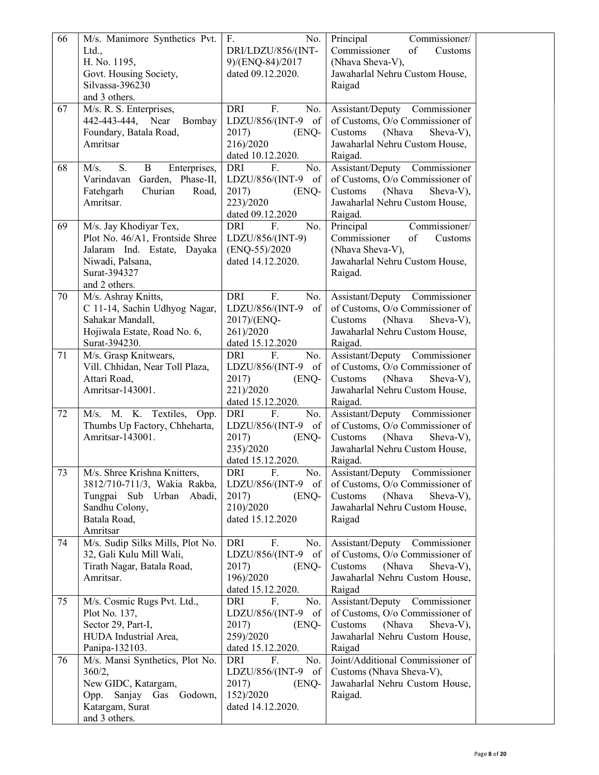| 66 | M/s. Manimore Synthetics Pvt.                     | F.<br>No.                             | Principal<br>Commissioner/                                       |
|----|---------------------------------------------------|---------------------------------------|------------------------------------------------------------------|
|    | Ltd.,                                             | DRI/LDZU/856/(INT-                    | Commissioner<br>of<br>Customs                                    |
|    | H. No. 1195,                                      | 9)/(ENQ-84)/2017                      | (Nhava Sheva-V),                                                 |
|    | Govt. Housing Society,                            | dated 09.12.2020.                     | Jawaharlal Nehru Custom House,                                   |
|    | Silvassa-396230                                   |                                       | Raigad                                                           |
|    | and 3 others.                                     |                                       |                                                                  |
| 67 | M/s. R. S. Enterprises,                           | <b>DRI</b><br>F.<br>No.               | Assistant/Deputy Commissioner                                    |
|    | 442-443-444,<br>Near<br>Bombay                    | LDZU/856/(INT-9<br>of                 | of Customs, O/o Commissioner of                                  |
|    | Foundary, Batala Road,                            | 2017)<br>(ENQ-                        | Customs<br>(Nhava<br>Sheva-V),                                   |
|    | Amritsar                                          | 216)/2020                             | Jawaharlal Nehru Custom House,                                   |
|    |                                                   | dated 10.12.2020.                     | Raigad.                                                          |
| 68 | M/s.<br>S.<br>B<br>Enterprises,                   | <b>DRI</b><br>No.<br>F.               | Assistant/Deputy Commissioner                                    |
|    | Garden, Phase-II,<br>Varindavan                   | LDZU/856/(INT-9<br>of                 | of Customs, O/o Commissioner of                                  |
|    | Churian<br>Fatehgarh<br>Road,<br>Amritsar.        | 2017)<br>(ENQ-                        | Customs<br>(Nhava<br>Sheva-V),                                   |
|    |                                                   | 223)/2020<br>dated 09.12.2020         | Jawaharlal Nehru Custom House,<br>Raigad.                        |
| 69 | M/s. Jay Khodiyar Tex,                            | DRI<br>F.<br>No.                      | Principal<br>Commissioner/                                       |
|    | Plot No. 46/A1, Frontside Shree                   | LDZU/856/(INT-9)                      | Commissioner<br>of<br>Customs                                    |
|    | Jalaram Ind. Estate, Dayaka                       | $(ENQ-55)/2020$                       | (Nhava Sheva-V),                                                 |
|    | Niwadi, Palsana,                                  | dated 14.12.2020.                     | Jawaharlal Nehru Custom House,                                   |
|    | Surat-394327                                      |                                       | Raigad.                                                          |
|    | and 2 others.                                     |                                       |                                                                  |
| 70 | M/s. Ashray Knitts,                               | <b>DRI</b><br>F.<br>No.               | Assistant/Deputy Commissioner                                    |
|    | C 11-14, Sachin Udhyog Nagar,                     | of<br>LDZU/856/(INT-9                 | of Customs, O/o Commissioner of                                  |
|    | Sahakar Mandall,                                  | 2017)/(ENQ-                           | Customs<br>(Nhava<br>Sheva-V),                                   |
|    | Hojiwala Estate, Road No. 6,                      | 261)/2020                             | Jawaharlal Nehru Custom House,                                   |
|    | Surat-394230.                                     | dated 15.12.2020                      | Raigad.                                                          |
| 71 | M/s. Grasp Knitwears,                             | DRI<br>F.<br>No.                      | Assistant/Deputy Commissioner                                    |
|    | Vill. Chhidan, Near Toll Plaza,                   | LDZU/856/(INT-9<br>of                 | of Customs, O/o Commissioner of                                  |
|    | Attari Road,                                      | 2017)<br>(ENQ-                        | (Nhava<br>Sheva-V),<br>Customs                                   |
|    | Amritsar-143001.                                  | 221)/2020                             | Jawaharlal Nehru Custom House,                                   |
|    |                                                   | dated 15.12.2020.                     | Raigad.                                                          |
| 72 | M/s. M. K. Textiles, Opp.                         | DRI<br>F.<br>No.<br>of                | Assistant/Deputy Commissioner<br>of Customs, O/o Commissioner of |
|    | Thumbs Up Factory, Chheharta,<br>Amritsar-143001. | LDZU/856/(INT-9<br>2017)<br>(ENQ-     | Customs<br>(Nhava<br>Sheva-V),                                   |
|    |                                                   | 235)/2020                             | Jawaharlal Nehru Custom House,                                   |
|    |                                                   | dated 15.12.2020.                     | Raigad.                                                          |
| 73 | M/s. Shree Krishna Knitters,                      | <b>DRI</b><br>No.<br>${\bf F}.$       | Assistant/Deputy Commissioner                                    |
|    | 3812/710-711/3, Wakia Rakba,                      | LDZU/856/(INT-9<br>of                 | of Customs, O/o Commissioner of                                  |
|    | Tungpai Sub Urban<br>Abadi,                       | 2017)<br>(ENQ-                        | Customs<br>(Nhava<br>Sheva-V),                                   |
|    | Sandhu Colony,                                    | 210)/2020                             | Jawaharlal Nehru Custom House,                                   |
|    | Batala Road,                                      | dated 15.12.2020                      | Raigad                                                           |
|    | Amritsar                                          |                                       |                                                                  |
| 74 | M/s. Sudip Silks Mills, Plot No.                  | F.<br>DRI<br>No.                      | Assistant/Deputy Commissioner                                    |
|    | 32, Gali Kulu Mill Wali,                          | LDZU/856/(INT-9<br>of                 | of Customs, O/o Commissioner of                                  |
|    | Tirath Nagar, Batala Road,                        | 2017)<br>(ENQ-                        | (Nhava<br>Customs<br>Sheva-V),                                   |
|    | Amritsar.                                         | 196)/2020                             | Jawaharlal Nehru Custom House,                                   |
|    |                                                   | dated 15.12.2020.                     | Raigad                                                           |
| 75 | M/s. Cosmic Rugs Pvt. Ltd.,                       | DRI<br>F.<br>No.                      | Assistant/Deputy Commissioner                                    |
|    | Plot No. 137,                                     | LDZU/856/(INT-9<br>of                 | of Customs, O/o Commissioner of                                  |
|    | Sector 29, Part-I,                                | 2017)<br>(ENQ-                        | (Nhava<br>Sheva-V),<br>Customs                                   |
|    | HUDA Industrial Area,                             | 259)/2020                             | Jawaharlal Nehru Custom House,                                   |
| 76 | Panipa-132103.                                    | dated 15.12.2020.<br>DRI<br>F.<br>No. | Raigad<br>Joint/Additional Commissioner of                       |
|    | M/s. Mansi Synthetics, Plot No.<br>360/2,         | LDZU/856/(INT-9<br>of                 | Customs (Nhava Sheva-V),                                         |
|    | New GIDC, Katargam,                               | 2017)<br>(ENQ-                        | Jawaharlal Nehru Custom House,                                   |
|    | Sanjay Gas Godown,<br>Opp.                        | 152)/2020                             | Raigad.                                                          |
|    | Katargam, Surat                                   | dated 14.12.2020.                     |                                                                  |
|    | and 3 others.                                     |                                       |                                                                  |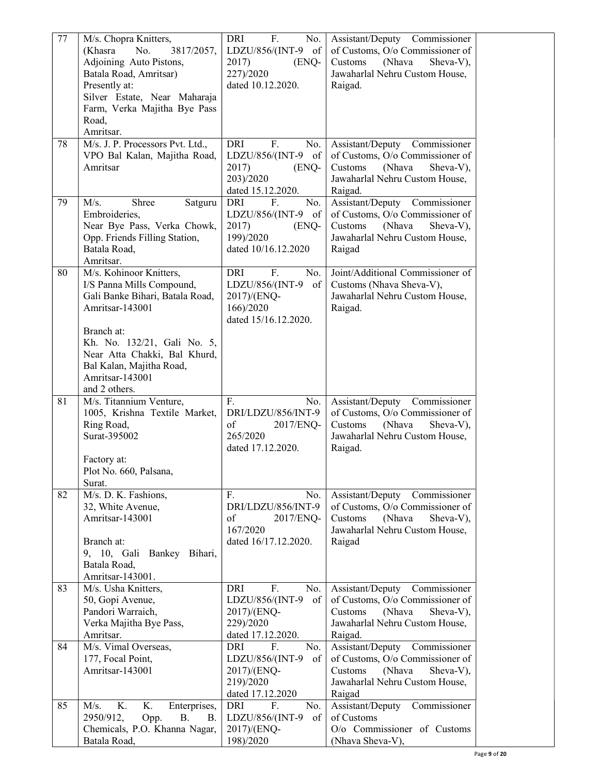| 77       | M/s. Chopra Knitters,<br>(Khasra<br>No.<br>3817/2057,<br>Adjoining Auto Pistons,<br>Batala Road, Amritsar)<br>Presently at:<br>Silver Estate, Near Maharaja<br>Farm, Verka Majitha Bye Pass<br>Road,<br>Amritsar. | DRI<br>F.<br>No.<br>LDZU/856/(INT-9 of<br>2017)<br>(ENQ-<br>227)/2020<br>dated 10.12.2020.                     | Assistant/Deputy Commissioner<br>of Customs, O/o Commissioner of<br>Customs<br>(Nhava<br>Sheva-V),<br>Jawaharlal Nehru Custom House,<br>Raigad.                                    |
|----------|-------------------------------------------------------------------------------------------------------------------------------------------------------------------------------------------------------------------|----------------------------------------------------------------------------------------------------------------|------------------------------------------------------------------------------------------------------------------------------------------------------------------------------------|
| 78       | M/s. J. P. Processors Pvt. Ltd.,<br>VPO Bal Kalan, Majitha Road,<br>Amritsar                                                                                                                                      | <b>DRI</b><br>F.<br>No.<br>LDZU/856/(INT-9 of<br>2017)<br>(ENQ-<br>203)/2020<br>dated 15.12.2020.              | Assistant/Deputy<br>Commissioner<br>of Customs, O/o Commissioner of<br>Customs<br>(Nhava<br>Sheva-V),<br>Jawaharlal Nehru Custom House,<br>Raigad.                                 |
| 79       | M/s.<br>Shree<br>Satguru<br>Embroideries,<br>Near Bye Pass, Verka Chowk,<br>Opp. Friends Filling Station,<br>Batala Road,<br>Amritsar.                                                                            | <b>DRI</b><br>F.<br>No.<br>LDZU/856/(INT-9 of<br>2017)<br>(ENQ-<br>199)/2020<br>dated 10/16.12.2020            | Assistant/Deputy<br>Commissioner<br>of Customs, O/o Commissioner of<br>Customs<br>(Nhava<br>Sheva-V),<br>Jawaharlal Nehru Custom House,<br>Raigad                                  |
| 80       | M/s. Kohinoor Knitters,<br>I/S Panna Mills Compound,<br>Gali Banke Bihari, Batala Road,<br>Amritsar-143001<br>Branch at:                                                                                          | <b>DRI</b><br>F.<br>No.<br>LDZU/856/(INT-9<br>of<br>2017)/(ENQ-<br>166)/2020<br>dated 15/16.12.2020.           | Joint/Additional Commissioner of<br>Customs (Nhava Sheva-V),<br>Jawaharlal Nehru Custom House,<br>Raigad.                                                                          |
|          | Kh. No. 132/21, Gali No. 5,<br>Near Atta Chakki, Bal Khurd,<br>Bal Kalan, Majitha Road,<br>Amritsar-143001<br>and 2 others.                                                                                       |                                                                                                                |                                                                                                                                                                                    |
| 81       | M/s. Titannium Venture,<br>1005, Krishna Textile Market,<br>Ring Road,<br>Surat-395002<br>Factory at:                                                                                                             | F.<br>No.<br>DRI/LDZU/856/INT-9<br>of<br>2017/ENQ-<br>265/2020<br>dated 17.12.2020.                            | Assistant/Deputy Commissioner<br>of Customs, O/o Commissioner of<br>Customs<br>(Nhava<br>Sheva-V),<br>Jawaharlal Nehru Custom House,<br>Raigad.                                    |
|          | Plot No. 660, Palsana,                                                                                                                                                                                            |                                                                                                                |                                                                                                                                                                                    |
|          | Surat.                                                                                                                                                                                                            |                                                                                                                |                                                                                                                                                                                    |
| 82       | M/s. D. K. Fashions,<br>32, White Avenue,<br>Amritsar-143001<br>Branch at:<br>9, 10, Gali Bankey Bihari,<br>Batala Road,<br>Amritsar-143001.                                                                      | F.<br>No.<br>DRI/LDZU/856/INT-9<br>of<br>2017/ENQ-<br>167/2020<br>dated 16/17.12.2020.                         | Assistant/Deputy Commissioner<br>of Customs, O/o Commissioner of<br>Sheva-V),<br>Customs<br>(Nhava<br>Jawaharlal Nehru Custom House,<br>Raigad                                     |
| 83       | M/s. Usha Knitters,<br>50, Gopi Avenue,<br>Pandori Warraich,<br>Verka Majitha Bye Pass,<br>Amritsar.                                                                                                              | F.<br>DRI<br>No.<br>LDZU/856/(INT-9<br>of<br>2017)/(ENQ-<br>229)/2020<br>dated 17.12.2020.                     | Assistant/Deputy Commissioner<br>of Customs, O/o Commissioner of<br>Sheva-V),<br>Customs<br>(Nhava<br>Jawaharlal Nehru Custom House,<br>Raigad.                                    |
| 84<br>85 | M/s. Vimal Overseas,<br>177, Focal Point,<br>Amritsar-143001<br>K.<br>M/s.<br>K.<br>Enterprises,                                                                                                                  | F.<br>DRI<br>No.<br>LDZU/856/(INT-9<br>$\sigma f$<br>2017)/(ENQ-<br>219)/2020<br>dated 17.12.2020<br>DRI<br>F. | Assistant/Deputy Commissioner<br>of Customs, O/o Commissioner of<br>(Nhava<br>Sheva-V),<br>Customs<br>Jawaharlal Nehru Custom House,<br>Raigad<br>Assistant/Deputy<br>Commissioner |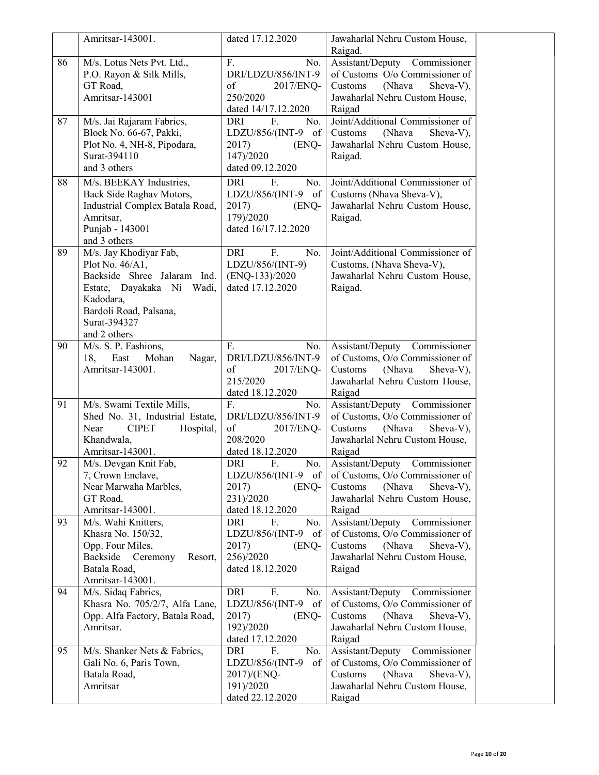|    | Amritsar-143001.                                                                                                                                                             | dated 17.12.2020                                                                                    | Jawaharlal Nehru Custom House,                                                                                                                           |
|----|------------------------------------------------------------------------------------------------------------------------------------------------------------------------------|-----------------------------------------------------------------------------------------------------|----------------------------------------------------------------------------------------------------------------------------------------------------------|
| 86 | M/s. Lotus Nets Pvt. Ltd.,<br>P.O. Rayon & Silk Mills,<br>GT Road,<br>Amritsar-143001                                                                                        | F.<br>No.<br>DRI/LDZU/856/INT-9<br>of<br>2017/ENQ-<br>250/2020<br>dated 14/17.12.2020               | Raigad.<br>Assistant/Deputy Commissioner<br>of Customs O/o Commissioner of<br>Customs<br>(Nhava<br>Sheva-V),<br>Jawaharlal Nehru Custom House,<br>Raigad |
| 87 | M/s. Jai Rajaram Fabrics,<br>Block No. 66-67, Pakki,<br>Plot No. 4, NH-8, Pipodara,<br>Surat-394110<br>and 3 others                                                          | F.<br>DRI<br>No.<br>LDZU/856/(INT-9<br>of<br>2017)<br>(ENQ-<br>147)/2020<br>dated 09.12.2020        | Joint/Additional Commissioner of<br>(Nhava<br>Sheva-V),<br>Customs<br>Jawaharlal Nehru Custom House,<br>Raigad.                                          |
| 88 | M/s. BEEKAY Industries,<br>Back Side Raghav Motors,<br>Industrial Complex Batala Road,<br>Amritsar,<br>Punjab - 143001<br>and 3 others                                       | F.<br><b>DRI</b><br>No.<br>LDZU/856/(INT-9 of<br>2017)<br>(ENQ-<br>179)/2020<br>dated 16/17.12.2020 | Joint/Additional Commissioner of<br>Customs (Nhava Sheva-V),<br>Jawaharlal Nehru Custom House,<br>Raigad.                                                |
| 89 | M/s. Jay Khodiyar Fab,<br>Plot No. 46/A1,<br>Backside Shree Jalaram Ind.<br>Estate, Dayakaka Ni Wadi,<br>Kadodara,<br>Bardoli Road, Palsana,<br>Surat-394327<br>and 2 others | <b>DRI</b><br>F.<br>No.<br>LDZU/856/(INT-9)<br>$(ENQ-133)/2020$<br>dated 17.12.2020                 | Joint/Additional Commissioner of<br>Customs, (Nhava Sheva-V),<br>Jawaharlal Nehru Custom House,<br>Raigad.                                               |
| 90 | M/s. S. P. Fashions,<br>18,<br>East<br>Mohan<br>Nagar,<br>Amritsar-143001.                                                                                                   | F.<br>No.<br>DRI/LDZU/856/INT-9<br>of<br>2017/ENQ-<br>215/2020<br>dated 18.12.2020                  | Assistant/Deputy Commissioner<br>of Customs, O/o Commissioner of<br>Customs<br>Sheva-V),<br>(Nhava<br>Jawaharlal Nehru Custom House,<br>Raigad           |
| 91 | M/s. Swami Textile Mills,<br>Shed No. 31, Industrial Estate,<br><b>CIPET</b><br>Near<br>Hospital,<br>Khandwala,<br>Amritsar-143001.                                          | F.<br>No.<br>DRI/LDZU/856/INT-9<br>of<br>2017/ENQ-<br>208/2020<br>dated 18.12.2020                  | Assistant/Deputy Commissioner<br>of Customs, O/o Commissioner of<br>(Nhava<br>Sheva-V),<br>Customs<br>Jawaharlal Nehru Custom House,<br>Raigad           |
| 92 | M/s. Devgan Knit Fab,<br>7, Crown Enclave,<br>Near Marwaha Marbles,<br>GT Road,<br>Amritsar-143001.                                                                          | DRI<br>F.<br>No.<br>LDZU/856/(INT-9 of<br>2017)<br>(ENQ-<br>231)/2020<br>dated 18.12.2020           | Assistant/Deputy<br>Commissioner<br>of Customs, O/o Commissioner of<br>Customs<br>(Nhava<br>Sheva-V),<br>Jawaharlal Nehru Custom House,<br>Raigad        |
| 93 | M/s. Wahi Knitters,<br>Khasra No. 150/32,<br>Opp. Four Miles,<br>Backside<br>Ceremony<br>Resort,<br>Batala Road,<br>Amritsar-143001.                                         | F.<br>No.<br>DRI<br>LDZU/856/(INT-9<br>of<br>2017)<br>(ENQ-<br>256)/2020<br>dated 18.12.2020        | Assistant/Deputy<br>Commissioner<br>of Customs, O/o Commissioner of<br>Customs<br>(Nhava<br>Sheva-V),<br>Jawaharlal Nehru Custom House,<br>Raigad        |
| 94 | M/s. Sidaq Fabrics,<br>Khasra No. 705/2/7, Alfa Lane,<br>Opp. Alfa Factory, Batala Road,<br>Amritsar.                                                                        | DRI<br>F.<br>No.<br>LDZU/856/(INT-9<br>of<br>2017)<br>(ENQ-<br>192)/2020<br>dated 17.12.2020        | Assistant/Deputy<br>Commissioner<br>of Customs, O/o Commissioner of<br>Customs<br>(Nhava<br>Sheva-V),<br>Jawaharlal Nehru Custom House,<br>Raigad        |
| 95 | M/s. Shanker Nets & Fabrics,<br>Gali No. 6, Paris Town,<br>Batala Road,<br>Amritsar                                                                                          | F.<br>DRI<br>No.<br>LDZU/856/(INT-9<br>of<br>2017)/(ENQ-<br>191)/2020<br>dated 22.12.2020           | Assistant/Deputy<br>Commissioner<br>of Customs, O/o Commissioner of<br>(Nhava<br>Sheva-V),<br>Customs<br>Jawaharlal Nehru Custom House,<br>Raigad        |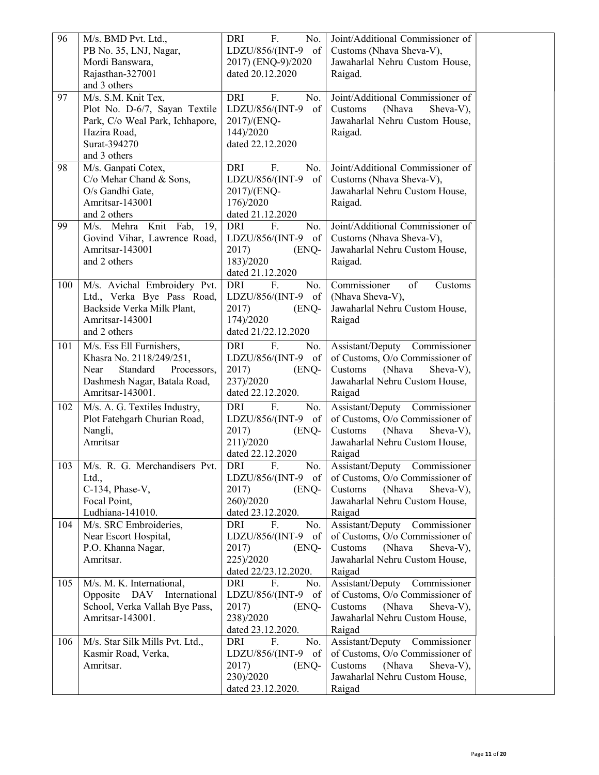| 96  | M/s. BMD Pvt. Ltd.,              | F.<br>No.<br>DRI        | Joint/Additional Commissioner of |
|-----|----------------------------------|-------------------------|----------------------------------|
|     | PB No. 35, LNJ, Nagar,           | LDZU/856/(INT-9<br>of   | Customs (Nhava Sheva-V),         |
|     | Mordi Banswara,                  | 2017) (ENQ-9)/2020      | Jawaharlal Nehru Custom House,   |
|     | Rajasthan-327001                 | dated 20.12.2020        | Raigad.                          |
|     | and 3 others                     |                         |                                  |
| 97  | M/s. S.M. Knit Tex,              | <b>DRI</b><br>F.<br>No. | Joint/Additional Commissioner of |
|     | Plot No. D-6/7, Sayan Textile    | LDZU/856/(INT-9<br>of   | (Nhava<br>Customs<br>Sheva-V),   |
|     | Park, C/o Weal Park, Ichhapore,  | 2017)/(ENQ-             | Jawaharlal Nehru Custom House,   |
|     | Hazira Road,                     | 144)/2020               | Raigad.                          |
|     | Surat-394270                     | dated 22.12.2020        |                                  |
|     | and 3 others                     |                         |                                  |
| 98  | M/s. Ganpati Cotex,              | DRI<br>F.<br>No.        | Joint/Additional Commissioner of |
|     | C/o Mehar Chand & Sons,          | LDZU/856/(INT-9<br>of   | Customs (Nhava Sheva-V),         |
|     | O/s Gandhi Gate,                 | 2017)/(ENQ-             | Jawaharlal Nehru Custom House,   |
|     | Amritsar-143001                  | 176)/2020               | Raigad.                          |
|     | and 2 others                     | dated 21.12.2020        |                                  |
| 99  | M/s. Mehra Knit Fab,<br>19,      | DRI<br>F.<br>No.        | Joint/Additional Commissioner of |
|     | Govind Vihar, Lawrence Road,     | LDZU/856/(INT-9<br>of   | Customs (Nhava Sheva-V),         |
|     | Amritsar-143001                  | 2017)<br>(ENQ-          | Jawaharlal Nehru Custom House,   |
|     | and 2 others                     | 183)/2020               | Raigad.                          |
|     |                                  | dated 21.12.2020        |                                  |
| 100 | M/s. Avichal Embroidery Pvt.     | DRI<br>F.<br>No.        | Commissioner<br>of<br>Customs    |
|     | Ltd., Verka Bye Pass Road,       | LDZU/856/(INT-9<br>of   | (Nhava Sheva-V),                 |
|     | Backside Verka Milk Plant,       | 2017)<br>(ENQ-          | Jawaharlal Nehru Custom House,   |
|     | Amritsar-143001                  | 174)/2020               | Raigad                           |
|     | and 2 others                     | dated 21/22.12.2020     |                                  |
| 101 | M/s. Ess Ell Furnishers,         | F.<br>DRI<br>No.        | Assistant/Deputy Commissioner    |
|     | Khasra No. 2118/249/251,         | LDZU/856/(INT-9<br>of   | of Customs, O/o Commissioner of  |
|     | Near<br>Standard<br>Processors,  | 2017)<br>(ENQ-          | Customs<br>(Nhava<br>Sheva-V),   |
|     | Dashmesh Nagar, Batala Road,     | 237)/2020               | Jawaharlal Nehru Custom House,   |
|     | Amritsar-143001.                 | dated 22.12.2020.       | Raigad                           |
| 102 | M/s. A. G. Textiles Industry,    | F.<br>DRI<br>No.        | Assistant/Deputy Commissioner    |
|     | Plot Fatehgarh Churian Road,     | LDZU/856/(INT-9<br>of   | of Customs, O/o Commissioner of  |
|     | Nangli,                          | 2017)<br>(ENQ-          | (Nhava<br>Sheva-V),<br>Customs   |
|     | Amritsar                         | 211)/2020               | Jawaharlal Nehru Custom House,   |
|     |                                  | dated 22.12.2020        | Raigad                           |
| 103 | M/s. R. G. Merchandisers Pvt.    | F.<br>No.<br>DRI        | Commissioner<br>Assistant/Deputy |
|     | Ltd.,                            | LDZU/856/(INT-9 of      | of Customs, O/o Commissioner of  |
|     | C-134, Phase-V,                  | 2017)<br>(ENQ-          | Customs<br>(Nhava<br>Sheva-V),   |
|     | Focal Point,                     | 260)/2020               | Jawaharlal Nehru Custom House,   |
|     | Ludhiana-141010.                 | dated 23.12.2020.       | Raigad                           |
| 104 | M/s. SRC Embroideries,           | F.<br>No.<br>DRI        | Assistant/Deputy Commissioner    |
|     | Near Escort Hospital,            | LDZU/856/(INT-9 of      | of Customs, O/o Commissioner of  |
|     | P.O. Khanna Nagar,               | 2017)<br>(ENQ-          | Customs<br>(Nhava<br>Sheva-V),   |
|     | Amritsar.                        | 225)/2020               | Jawaharlal Nehru Custom House,   |
|     |                                  | dated 22/23.12.2020.    | Raigad                           |
| 105 | M/s. M. K. International,        | F.<br>DRI<br>No.        | Assistant/Deputy Commissioner    |
|     | International<br>Opposite<br>DAV | LDZU/856/(INT-9 of      | of Customs, O/o Commissioner of  |
|     | School, Verka Vallah Bye Pass,   | 2017)<br>(ENQ-          | Customs<br>(Nhava<br>Sheva-V),   |
|     | Amritsar-143001.                 | 238)/2020               | Jawaharlal Nehru Custom House,   |
|     |                                  | dated 23.12.2020.       | Raigad                           |
| 106 | M/s. Star Silk Mills Pvt. Ltd.,  | F.<br>No.<br>DRI        | Assistant/Deputy Commissioner    |
|     | Kasmir Road, Verka,              | LDZU/856/(INT-9 of      | of Customs, O/o Commissioner of  |
|     | Amritsar.                        | 2017)<br>(ENQ-          | (Nhava<br>Customs<br>Sheva-V),   |
|     |                                  | 230)/2020               | Jawaharlal Nehru Custom House,   |
|     |                                  | dated 23.12.2020.       | Raigad                           |
|     |                                  |                         |                                  |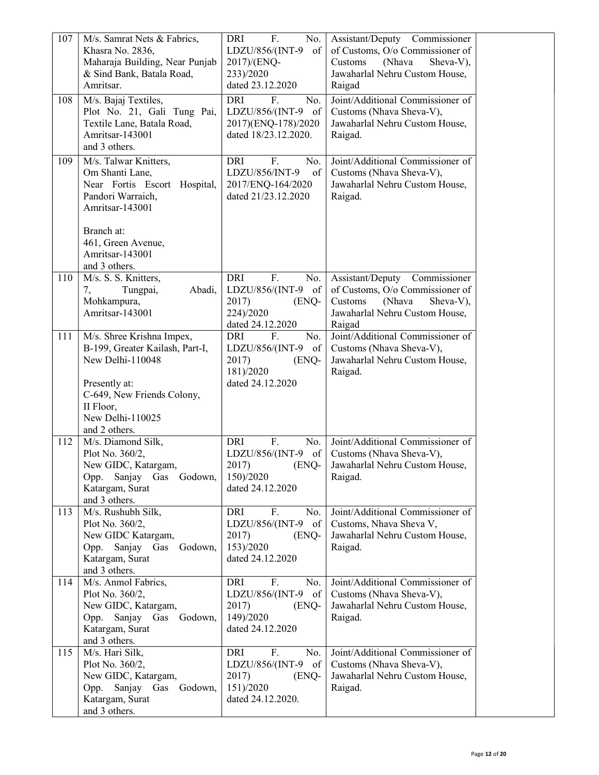| 107 | M/s. Samrat Nets & Fabrics,<br>Khasra No. 2836,<br>Maharaja Building, Near Punjab<br>& Sind Bank, Batala Road,<br>Amritsar.  | F.<br>DRI<br>No.<br>LDZU/856/(INT-9<br>of<br>2017)/(ENQ-<br>233)/2020<br>dated 23.12.2020                     | Assistant/Deputy Commissioner<br>of Customs, O/o Commissioner of<br>Customs<br>(Nhava<br>Sheva-V),<br>Jawaharlal Nehru Custom House,<br>Raigad |  |
|-----|------------------------------------------------------------------------------------------------------------------------------|---------------------------------------------------------------------------------------------------------------|------------------------------------------------------------------------------------------------------------------------------------------------|--|
| 108 | M/s. Bajaj Textiles,<br>Plot No. 21, Gali Tung Pai,<br>Textile Lane, Batala Road,<br>Amritsar-143001<br>and 3 others.        | F.<br>DRI<br>No.<br>LDZU/856/(INT-9 of<br>2017)(ENQ-178)/2020<br>dated 18/23.12.2020.                         | Joint/Additional Commissioner of<br>Customs (Nhava Sheva-V),<br>Jawaharlal Nehru Custom House,<br>Raigad.                                      |  |
| 109 | M/s. Talwar Knitters,<br>Om Shanti Lane,<br>Near Fortis Escort Hospital,<br>Pandori Warraich,<br>Amritsar-143001             | DRI<br>F.<br>No.<br>LDZU/856/INT-9<br>$\sigma$ f<br>2017/ENQ-164/2020<br>dated 21/23.12.2020                  | Joint/Additional Commissioner of<br>Customs (Nhava Sheva-V),<br>Jawaharlal Nehru Custom House,<br>Raigad.                                      |  |
|     | Branch at:<br>461, Green Avenue,<br>Amritsar-143001<br>and 3 others.                                                         |                                                                                                               |                                                                                                                                                |  |
| 110 | M/s. S. S. Knitters,<br>Tungpai,<br>Abadi,<br>7,<br>Mohkampura,<br>Amritsar-143001                                           | F.<br><b>DRI</b><br>No.<br>LDZU/856/(INT-9 of<br>2017)<br>(ENQ-<br>224)/2020<br>dated 24.12.2020              | Assistant/Deputy Commissioner<br>of Customs, O/o Commissioner of<br>(Nhava<br>Sheva-V),<br>Customs<br>Jawaharlal Nehru Custom House,<br>Raigad |  |
| 111 | M/s. Shree Krishna Impex,<br>B-199, Greater Kailash, Part-I,<br>New Delhi-110048                                             | F.<br>DRI<br>No.<br>LDZU/856/(INT-9<br>of<br>2017)<br>(ENQ-<br>181)/2020                                      | Joint/Additional Commissioner of<br>Customs (Nhava Sheva-V),<br>Jawaharlal Nehru Custom House,<br>Raigad.                                      |  |
|     | Presently at:<br>C-649, New Friends Colony,<br>II Floor,<br>New Delhi-110025<br>and 2 others.                                | dated 24.12.2020                                                                                              |                                                                                                                                                |  |
| 112 | M/s. Diamond Silk,<br>Plot No. 360/2,<br>New GIDC, Katargam,<br>Opp. Sanjay Gas Godown,<br>Katargam, Surat<br>and 3 others.  | F.<br><b>DRI</b><br>No.<br>LDZU/856/(INT-9 of<br>2017)<br>(ENQ-<br>150)/2020<br>dated 24.12.2020              | Joint/Additional Commissioner of<br>Customs (Nhava Sheva-V),<br>Jawaharlal Nehru Custom House,<br>Raigad.                                      |  |
| 113 | M/s. Rushubh Silk,<br>Plot No. 360/2,<br>New GIDC Katargam,<br>Opp. Sanjay Gas Godown,<br>Katargam, Surat<br>and 3 others.   | F.<br>DRI<br>No.<br>LDZU/856/(INT-9 of<br>2017)<br>(ENQ-<br>153)/2020<br>dated 24.12.2020                     | Joint/Additional Commissioner of<br>Customs, Nhava Sheva V,<br>Jawaharlal Nehru Custom House,<br>Raigad.                                       |  |
| 114 | M/s. Anmol Fabrics,<br>Plot No. 360/2,<br>New GIDC, Katargam,<br>Opp. Sanjay Gas Godown,<br>Katargam, Surat<br>and 3 others. | F.<br>DRI<br>No.<br>LDZU/856/(INT-9 of<br>2017)<br>(ENQ-<br>149)/2020<br>dated 24.12.2020                     | Joint/Additional Commissioner of<br>Customs (Nhava Sheva-V),<br>Jawaharlal Nehru Custom House,<br>Raigad.                                      |  |
| 115 | M/s. Hari Silk,<br>Plot No. 360/2,<br>New GIDC, Katargam,<br>Opp. Sanjay Gas Godown,<br>Katargam, Surat<br>and 3 others.     | F.<br>DRI<br>No.<br>LDZU/856/(INT-9<br>$\circ$ of $\vert$<br>2017)<br>(ENQ-<br>151)/2020<br>dated 24.12.2020. | Joint/Additional Commissioner of<br>Customs (Nhava Sheva-V),<br>Jawaharlal Nehru Custom House,<br>Raigad.                                      |  |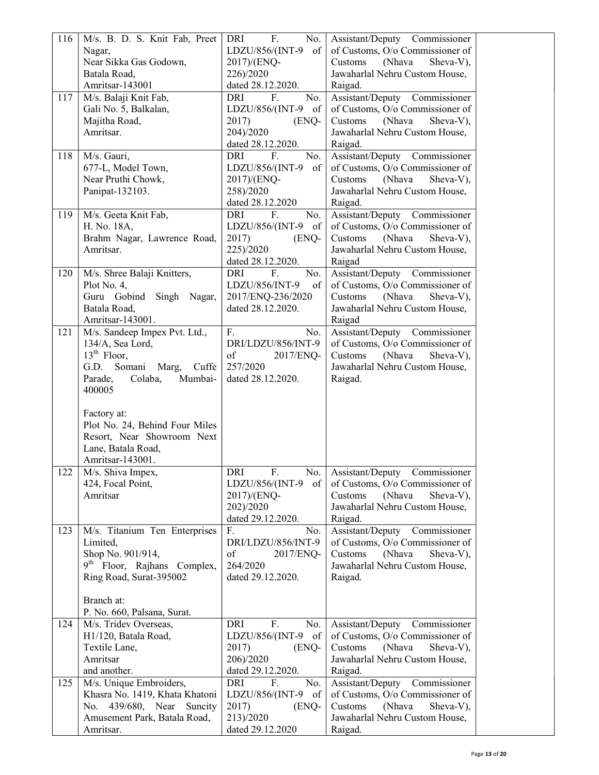| 116 | M/s. B. D. S. Knit Fab, Preet           | DRI<br>F.<br>No.        | Assistant/Deputy Commissioner    |  |
|-----|-----------------------------------------|-------------------------|----------------------------------|--|
|     | Nagar,                                  | LDZU/856/(INT-9<br>of   | of Customs, O/o Commissioner of  |  |
|     | Near Sikka Gas Godown,                  | 2017)/(ENQ-             | Sheva-V),<br>Customs<br>(Nhava   |  |
|     | Batala Road,                            | 226)/2020               | Jawaharlal Nehru Custom House,   |  |
|     | Amritsar-143001                         | dated 28.12.2020.       | Raigad.                          |  |
| 117 | M/s. Balaji Knit Fab,                   | DRI<br>F.<br>No.        | Assistant/Deputy Commissioner    |  |
|     | Gali No. 5, Balkalan,                   | LDZU/856/(INT-9 of      | of Customs, O/o Commissioner of  |  |
|     | Majitha Road,                           | 2017)<br>(ENQ-          | Sheva-V),<br>Customs<br>(Nhava   |  |
|     | Amritsar.                               | 204)/2020               | Jawaharlal Nehru Custom House,   |  |
|     |                                         | dated 28.12.2020.       | Raigad.                          |  |
| 118 | M/s. Gauri,                             | <b>DRI</b><br>F.<br>No. | Assistant/Deputy Commissioner    |  |
|     | 677-L, Model Town,                      | LDZU/856/(INT-9<br>of   | of Customs, O/o Commissioner of  |  |
|     | Near Pruthi Chowk,                      | 2017)/(ENQ-             | Sheva-V),<br>Customs<br>(Nhava   |  |
|     | Panipat-132103.                         | 258)/2020               | Jawaharlal Nehru Custom House,   |  |
|     |                                         | dated 28.12.2020        | Raigad.                          |  |
| 119 | M/s. Geeta Knit Fab,                    | DRI<br>F.<br>No.        | Assistant/Deputy Commissioner    |  |
|     | H. No. 18A,                             | LDZU/856/(INT-9 of      | of Customs, O/o Commissioner of  |  |
|     | Brahm Nagar, Lawrence Road,             | 2017)<br>(ENQ-          | Sheva-V),<br>Customs<br>(Nhava   |  |
|     | Amritsar.                               | 225)/2020               | Jawaharlal Nehru Custom House,   |  |
|     |                                         | dated 28.12.2020.       | Raigad                           |  |
| 120 | M/s. Shree Balaji Knitters,             | DRI<br>F.<br>No.        | Assistant/Deputy Commissioner    |  |
|     | Plot No. 4,                             | LDZU/856/INT-9<br>of    | of Customs, O/o Commissioner of  |  |
|     | Guru Gobind<br>Singh Nagar,             | 2017/ENQ-236/2020       | Sheva-V),<br>Customs<br>(Nhava   |  |
|     | Batala Road,                            | dated 28.12.2020.       | Jawaharlal Nehru Custom House,   |  |
|     | Amritsar-143001.                        |                         | Raigad                           |  |
| 121 | M/s. Sandeep Impex Pvt. Ltd.,           | F.<br>No.               | Assistant/Deputy Commissioner    |  |
|     | 134/A, Sea Lord,                        | DRI/LDZU/856/INT-9      | of Customs, O/o Commissioner of  |  |
|     | $13th$ Floor,                           | of<br>2017/ENQ-         | Sheva-V),<br>Customs<br>(Nhava   |  |
|     | G.D. Somani<br>Marg,<br>Cuffe           | 257/2020                | Jawaharlal Nehru Custom House,   |  |
|     | Parade,<br>Mumbai-<br>Colaba,           | dated 28.12.2020.       | Raigad.                          |  |
|     | 400005                                  |                         |                                  |  |
|     |                                         |                         |                                  |  |
|     | Factory at:                             |                         |                                  |  |
|     | Plot No. 24, Behind Four Miles          |                         |                                  |  |
|     | Resort, Near Showroom Next              |                         |                                  |  |
|     | Lane, Batala Road,                      |                         |                                  |  |
|     | Amritsar-143001.                        |                         |                                  |  |
| 122 | M/s. Shiva Impex,                       | <b>DRI</b><br>F.<br>No. | Assistant/Deputy Commissioner    |  |
|     | 424, Focal Point,                       | LDZU/856/(INT-9 of      | of Customs, O/o Commissioner of  |  |
|     | Amritsar                                | 2017)/(ENQ-             | (Nhava<br>Sheva-V),<br>Customs   |  |
|     |                                         | 202)/2020               | Jawaharlal Nehru Custom House,   |  |
|     |                                         | dated 29.12.2020.       | Raigad.                          |  |
| 123 | M/s. Titanium Ten Enterprises           | F.<br>No.               | Assistant/Deputy<br>Commissioner |  |
|     | Limited,                                | DRI/LDZU/856/INT-9      | of Customs, O/o Commissioner of  |  |
|     | Shop No. 901/914,                       | of<br>2017/ENQ-         | Sheva-V),<br>Customs<br>(Nhava   |  |
|     | 9 <sup>th</sup> Floor, Rajhans Complex, | 264/2020                | Jawaharlal Nehru Custom House,   |  |
|     | Ring Road, Surat-395002                 | dated 29.12.2020.       | Raigad.                          |  |
|     |                                         |                         |                                  |  |
|     | Branch at:                              |                         |                                  |  |
|     | P. No. 660, Palsana, Surat.             |                         |                                  |  |
| 124 | M/s. Tridev Overseas,                   | <b>DRI</b><br>F.<br>No. | Assistant/Deputy Commissioner    |  |
|     | H1/120, Batala Road,                    | LDZU/856/(INT-9 of      | of Customs, O/o Commissioner of  |  |
|     | Textile Lane,                           | 2017)<br>(ENQ-          | Sheva-V),<br>Customs<br>(Nhava   |  |
|     | Amritsar                                | 206)/2020               | Jawaharlal Nehru Custom House,   |  |
|     | and another.                            | dated 29.12.2020.       | Raigad.                          |  |
| 125 | M/s. Unique Embroiders,                 | DRI<br>F.<br>No.        | Assistant/Deputy<br>Commissioner |  |
|     | Khasra No. 1419, Khata Khatoni          | LDZU/856/(INT-9 of      | of Customs, O/o Commissioner of  |  |
|     | No. 439/680, Near Suncity               | 2017)<br>(ENQ-          | Sheva-V),<br>(Nhava<br>Customs   |  |
|     | Amusement Park, Batala Road,            | 213)/2020               | Jawaharlal Nehru Custom House,   |  |
|     | Amritsar.                               | dated 29.12.2020        | Raigad.                          |  |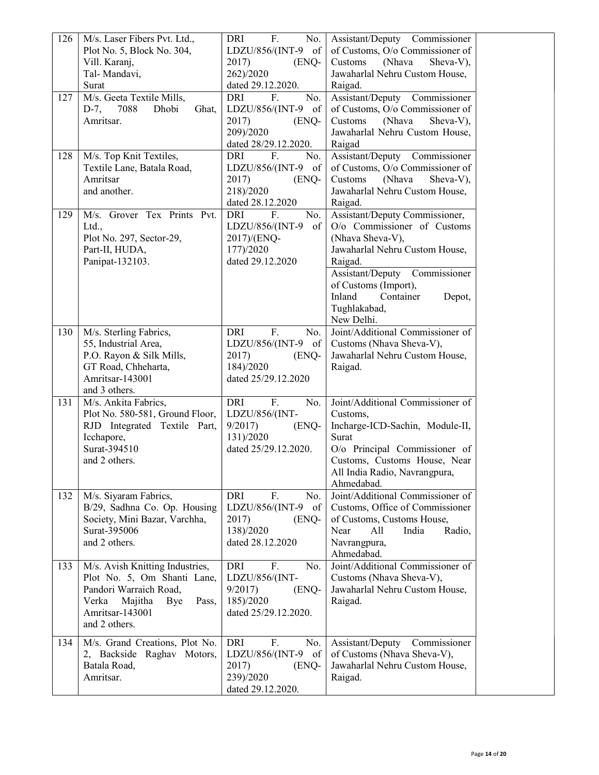| 126 | M/s. Laser Fibers Pvt. Ltd.,     | F.<br>DRI<br>No.        | Assistant/Deputy Commissioner    |  |
|-----|----------------------------------|-------------------------|----------------------------------|--|
|     | Plot No. 5, Block No. 304,       | LDZU/856/(INT-9 of      | of Customs, O/o Commissioner of  |  |
|     | Vill. Karanj,                    | 2017)<br>(ENQ-          | Customs<br>(Nhava<br>Sheva-V),   |  |
|     | Tal-Mandavi,                     | 262)/2020               | Jawaharlal Nehru Custom House,   |  |
|     | Surat                            | dated 29.12.2020.       | Raigad.                          |  |
| 127 | M/s. Geeta Textile Mills,        | DRI<br>F.<br>No.        | Assistant/Deputy Commissioner    |  |
|     | 7088<br>Dhobi                    |                         | of Customs, O/o Commissioner of  |  |
|     | $D-7$ ,<br>Ghat,                 | LDZU/856/(INT-9 of      |                                  |  |
|     | Amritsar.                        | 2017)<br>(ENQ-          | Customs<br>(Nhava<br>Sheva-V),   |  |
|     |                                  | 209)/2020               | Jawaharlal Nehru Custom House,   |  |
|     |                                  | dated 28/29.12.2020.    | Raigad                           |  |
| 128 | M/s. Top Knit Textiles,          | <b>DRI</b><br>F.<br>No. | Assistant/Deputy Commissioner    |  |
|     | Textile Lane, Batala Road,       | LDZU/856/(INT-9 of      | of Customs, O/o Commissioner of  |  |
|     | Amritsar                         | 2017)<br>(ENQ-          | Customs<br>(Nhava<br>Sheva-V),   |  |
|     | and another.                     | 218)/2020               | Jawaharlal Nehru Custom House,   |  |
|     |                                  | dated 28.12.2020        | Raigad.                          |  |
| 129 | M/s. Grover Tex Prints Pvt.      | <b>DRI</b><br>No.<br>F. | Assistant/Deputy Commissioner,   |  |
|     | Ltd.,                            | LDZU/856/(INT-9<br>of   | O/o Commissioner of Customs      |  |
|     | Plot No. 297, Sector-29,         | 2017)/(ENQ-             | (Nhava Sheva-V),                 |  |
|     | Part-II, HUDA,                   | 177)/2020               | Jawaharlal Nehru Custom House,   |  |
|     | Panipat-132103.                  | dated 29.12.2020        | Raigad.                          |  |
|     |                                  |                         | Assistant/Deputy Commissioner    |  |
|     |                                  |                         | of Customs (Import),             |  |
|     |                                  |                         | Inland<br>Container<br>Depot,    |  |
|     |                                  |                         | Tughlakabad,                     |  |
|     |                                  |                         | New Delhi.                       |  |
| 130 |                                  | F.<br>DRI<br>No.        | Joint/Additional Commissioner of |  |
|     | M/s. Sterling Fabrics,           |                         |                                  |  |
|     | 55, Industrial Area,             | LDZU/856/(INT-9 of      | Customs (Nhava Sheva-V),         |  |
|     | P.O. Rayon & Silk Mills,         | 2017)<br>(ENQ-          | Jawaharlal Nehru Custom House,   |  |
|     | GT Road, Chheharta,              | 184)/2020               | Raigad.                          |  |
|     | Amritsar-143001                  | dated 25/29.12.2020     |                                  |  |
|     | and 3 others.                    |                         |                                  |  |
| 131 | M/s. Ankita Fabrics,             | DRI<br>F.<br>No.        | Joint/Additional Commissioner of |  |
|     | Plot No. 580-581, Ground Floor,  | LDZU/856/(INT-          | Customs,                         |  |
|     | RJD Integrated Textile Part,     | 9/2017<br>(ENQ-         | Incharge-ICD-Sachin, Module-II,  |  |
|     | Icchapore,                       | 131)/2020               | Surat                            |  |
|     | Surat-394510                     | dated 25/29.12.2020.    | O/o Principal Commissioner of    |  |
|     | and 2 others.                    |                         | Customs, Customs House, Near     |  |
|     |                                  |                         | All India Radio, Navrangpura,    |  |
|     |                                  |                         | Ahmedabad.                       |  |
| 132 | M/s. Siyaram Fabrics,            | <b>DRI</b><br>F.<br>No. | Joint/Additional Commissioner of |  |
|     | B/29, Sadhna Co. Op. Housing     | LDZU/856/(INT-9<br>of   | Customs, Office of Commissioner  |  |
|     | Society, Mini Bazar, Varchha,    | 2017)<br>(ENQ-          | of Customs, Customs House,       |  |
|     | Surat-395006                     | 138)/2020               | All<br>India<br>Near<br>Radio,   |  |
|     | and 2 others.                    | dated 28.12.2020        | Navrangpura,                     |  |
|     |                                  |                         | Ahmedabad.                       |  |
| 133 | M/s. Avish Knitting Industries,  | <b>DRI</b><br>F.<br>No. | Joint/Additional Commissioner of |  |
|     | Plot No. 5, Om Shanti Lane,      | LDZU/856/(INT-          | Customs (Nhava Sheva-V),         |  |
|     | Pandori Warraich Road,           | 9/2017<br>(ENQ-         | Jawaharlal Nehru Custom House,   |  |
|     | Verka<br>Majitha<br>Bye<br>Pass, | 185)/2020               | Raigad.                          |  |
|     | Amritsar-143001                  | dated 25/29.12.2020.    |                                  |  |
|     | and 2 others.                    |                         |                                  |  |
|     |                                  |                         |                                  |  |
| 134 | M/s. Grand Creations, Plot No.   | F.<br><b>DRI</b><br>No. | Assistant/Deputy<br>Commissioner |  |
|     | 2, Backside Raghav Motors,       | LDZU/856/(INT-9 of      | of Customs (Nhava Sheva-V),      |  |
|     | Batala Road,                     | 2017)<br>(ENQ-          | Jawaharlal Nehru Custom House,   |  |
|     | Amritsar.                        | 239)/2020               | Raigad.                          |  |
|     |                                  | dated 29.12.2020.       |                                  |  |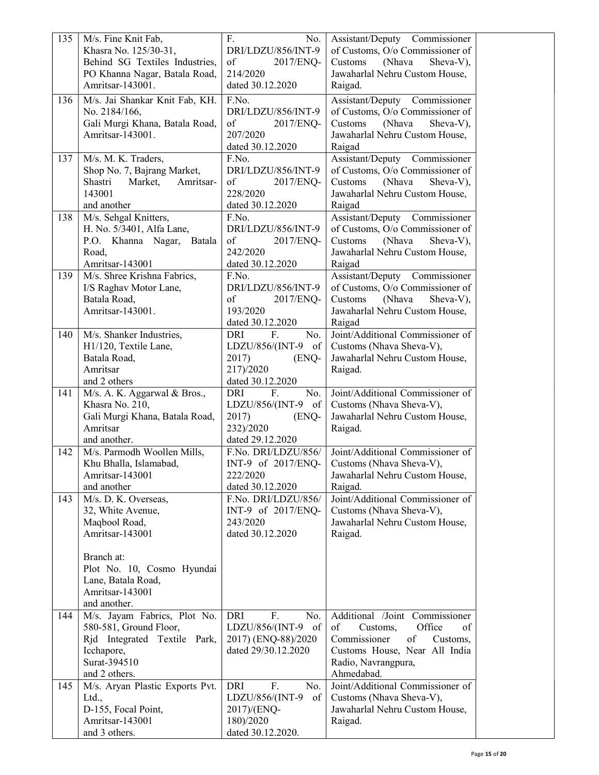| 135 | M/s. Fine Knit Fab,                            | F.<br>No.                                 | Assistant/Deputy Commissioner                                    |  |
|-----|------------------------------------------------|-------------------------------------------|------------------------------------------------------------------|--|
|     | Khasra No. 125/30-31,                          | DRI/LDZU/856/INT-9                        | of Customs, O/o Commissioner of                                  |  |
|     | Behind SG Textiles Industries,                 | of<br>2017/ENQ-                           | Customs<br>(Nhava<br>Sheva-V),                                   |  |
|     | PO Khanna Nagar, Batala Road,                  | 214/2020                                  | Jawaharlal Nehru Custom House,                                   |  |
|     | Amritsar-143001.                               | dated 30.12.2020                          | Raigad.                                                          |  |
| 136 | M/s. Jai Shankar Knit Fab, KH.                 | F.No.                                     | Assistant/Deputy Commissioner                                    |  |
|     | No. 2184/166,                                  | DRI/LDZU/856/INT-9                        | of Customs, O/o Commissioner of                                  |  |
|     | Gali Murgi Khana, Batala Road,                 | of<br>2017/ENQ-                           | Customs<br>(Nhava<br>Sheva-V),                                   |  |
|     | Amritsar-143001.                               | 207/2020                                  | Jawaharlal Nehru Custom House,                                   |  |
|     |                                                | dated 30.12.2020                          | Raigad                                                           |  |
| 137 | M/s. M. K. Traders,                            | F.No.                                     | Assistant/Deputy Commissioner                                    |  |
|     | Shop No. 7, Bajrang Market,                    | DRI/LDZU/856/INT-9                        | of Customs, O/o Commissioner of                                  |  |
|     | Shastri<br>Market,<br>Amritsar-                | of<br>2017/ENQ-                           | Customs<br>(Nhava<br>Sheva-V),                                   |  |
|     | 143001                                         | 228/2020                                  | Jawaharlal Nehru Custom House,                                   |  |
|     | and another                                    | dated 30.12.2020                          | Raigad                                                           |  |
| 138 | M/s. Sehgal Knitters,                          | F.No.                                     | Assistant/Deputy Commissioner                                    |  |
|     | H. No. 5/3401, Alfa Lane,                      | DRI/LDZU/856/INT-9                        | of Customs, O/o Commissioner of                                  |  |
|     | P.O. Khanna Nagar,<br>Batala                   | of<br>2017/ENQ-                           | Sheva-V),<br>Customs<br>(Nhava                                   |  |
|     | Road,                                          | 242/2020                                  | Jawaharlal Nehru Custom House,                                   |  |
| 139 | Amritsar-143001<br>M/s. Shree Krishna Fabrics, | dated 30.12.2020<br>F.No.                 | Raigad                                                           |  |
|     | I/S Raghav Motor Lane,                         | DRI/LDZU/856/INT-9                        | Assistant/Deputy Commissioner<br>of Customs, O/o Commissioner of |  |
|     | Batala Road,                                   | of<br>2017/ENQ-                           | Customs<br>(Nhava<br>Sheva-V),                                   |  |
|     | Amritsar-143001.                               | 193/2020                                  | Jawaharlal Nehru Custom House,                                   |  |
|     |                                                | dated 30.12.2020                          | Raigad                                                           |  |
| 140 | M/s. Shanker Industries,                       | F.<br>No.<br>DRI                          | Joint/Additional Commissioner of                                 |  |
|     | H1/120, Textile Lane,                          | LDZU/856/(INT-9 of                        | Customs (Nhava Sheva-V),                                         |  |
|     | Batala Road,                                   | 2017)<br>(ENQ-                            | Jawaharlal Nehru Custom House,                                   |  |
|     | Amritsar                                       | 217)/2020                                 | Raigad.                                                          |  |
|     | and 2 others                                   | dated 30.12.2020                          |                                                                  |  |
| 141 | M/s. A. K. Aggarwal & Bros.,                   | <b>DRI</b><br>F.<br>No.                   | Joint/Additional Commissioner of                                 |  |
|     | Khasra No. 210,                                | LDZU/856/(INT-9 of                        | Customs (Nhava Sheva-V),                                         |  |
|     | Gali Murgi Khana, Batala Road,                 | 2017)<br>(ENQ-                            | Jawaharlal Nehru Custom House,                                   |  |
|     | Amritsar                                       | 232)/2020                                 | Raigad.                                                          |  |
|     | and another.                                   | dated 29.12.2020                          |                                                                  |  |
| 142 | M/s. Parmodh Woollen Mills,                    | F.No. DRI/LDZU/856/                       | Joint/Additional Commissioner of                                 |  |
|     | Khu Bhalla, Islamabad,                         | INT-9 of 2017/ENQ-                        | Customs (Nhava Sheva-V),                                         |  |
|     | Amritsar-143001                                | 222/2020                                  | Jawaharlal Nehru Custom House,                                   |  |
|     | and another                                    | dated 30.12.2020                          | Raigad.<br>Joint/Additional Commissioner of                      |  |
| 143 | M/s. D. K. Overseas,<br>32, White Avenue,      | F.No. DRI/LDZU/856/<br>INT-9 of 2017/ENQ- |                                                                  |  |
|     | Maqbool Road,                                  | 243/2020                                  | Customs (Nhava Sheva-V),<br>Jawaharlal Nehru Custom House,       |  |
|     | Amritsar-143001                                | dated 30.12.2020                          | Raigad.                                                          |  |
|     |                                                |                                           |                                                                  |  |
|     | Branch at:                                     |                                           |                                                                  |  |
|     | Plot No. 10, Cosmo Hyundai                     |                                           |                                                                  |  |
|     | Lane, Batala Road,                             |                                           |                                                                  |  |
|     | Amritsar-143001                                |                                           |                                                                  |  |
|     | and another.                                   |                                           |                                                                  |  |
| 144 | M/s. Jayam Fabrics, Plot No.                   | DRI<br>F.<br>No.                          | Additional /Joint Commissioner                                   |  |
|     | 580-581, Ground Floor,                         | LDZU/856/(INT-9 of                        | of<br>Office<br>Customs,<br>of                                   |  |
|     | Rid Integrated Textile Park,                   | 2017) (ENQ-88)/2020                       | Commissioner<br>of<br>Customs,                                   |  |
|     | Icchapore,                                     | dated 29/30.12.2020                       | Customs House, Near All India                                    |  |
|     | Surat-394510                                   |                                           | Radio, Navrangpura,                                              |  |
|     | and 2 others.                                  | F.                                        | Ahmedabad.                                                       |  |
| 145 | M/s. Aryan Plastic Exports Pvt.<br>Ltd.,       | DRI<br>No.<br>of<br>LDZU/856/(INT-9       | Joint/Additional Commissioner of<br>Customs (Nhava Sheva-V),     |  |
|     | D-155, Focal Point,                            | 2017)/(ENQ-                               | Jawaharlal Nehru Custom House,                                   |  |
|     | Amritsar-143001                                | 180)/2020                                 | Raigad.                                                          |  |
|     | and 3 others.                                  | dated 30.12.2020.                         |                                                                  |  |
|     |                                                |                                           |                                                                  |  |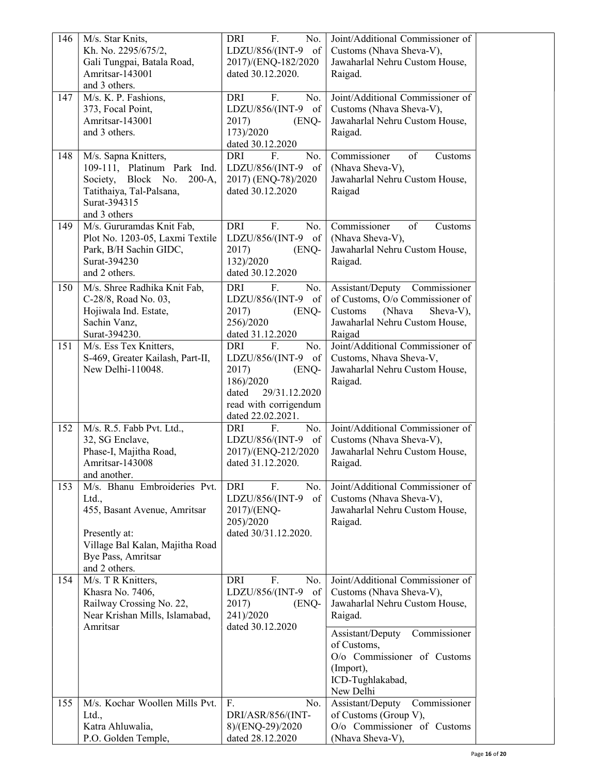| 146 | M/s. Star Knits,                                    | F.<br><b>DRI</b><br>No.                 | Joint/Additional Commissioner of |  |
|-----|-----------------------------------------------------|-----------------------------------------|----------------------------------|--|
|     | Kh. No. 2295/675/2,                                 | LDZU/856/(INT-9<br>of                   | Customs (Nhava Sheva-V),         |  |
|     | Gali Tungpai, Batala Road,                          | 2017)/(ENQ-182/2020                     | Jawaharlal Nehru Custom House,   |  |
|     | Amritsar-143001                                     | dated 30.12.2020.                       | Raigad.                          |  |
|     | and 3 others.                                       |                                         |                                  |  |
| 147 | M/s. K. P. Fashions,                                | <b>DRI</b><br>F.<br>No.                 | Joint/Additional Commissioner of |  |
|     | 373, Focal Point,                                   | LDZU/856/(INT-9<br>of                   | Customs (Nhava Sheva-V),         |  |
|     | Amritsar-143001                                     | 2017)<br>(ENQ-                          | Jawaharlal Nehru Custom House,   |  |
|     | and 3 others.                                       | 173)/2020                               | Raigad.                          |  |
|     |                                                     | dated 30.12.2020                        |                                  |  |
| 148 |                                                     | No.<br>DRI<br>F.                        | of<br>Commissioner<br>Customs    |  |
|     | M/s. Sapna Knitters,<br>109-111, Platinum Park Ind. | LDZU/856/(INT-9<br>of                   | (Nhava Sheva-V),                 |  |
|     | Block No.                                           |                                         |                                  |  |
|     | Society,<br>$200-A,$                                | 2017) (ENQ-78)/2020<br>dated 30.12.2020 | Jawaharlal Nehru Custom House,   |  |
|     | Tatithaiya, Tal-Palsana,<br>Surat-394315            |                                         | Raigad                           |  |
|     | and 3 others                                        |                                         |                                  |  |
|     |                                                     | <b>DRI</b><br>F.                        | of<br>Customs                    |  |
| 149 | M/s. Gururamdas Knit Fab,                           | No.                                     | Commissioner                     |  |
|     | Plot No. 1203-05, Laxmi Textile                     | LDZU/856/(INT-9<br>of                   | (Nhava Sheva-V),                 |  |
|     | Park, B/H Sachin GIDC,                              | 2017)<br>(ENQ-                          | Jawaharlal Nehru Custom House,   |  |
|     | Surat-394230                                        | 132)/2020                               | Raigad.                          |  |
|     | and 2 others.                                       | dated 30.12.2020                        |                                  |  |
| 150 | M/s. Shree Radhika Knit Fab,                        | F.<br><b>DRI</b><br>No.                 | Assistant/Deputy Commissioner    |  |
|     | C-28/8, Road No. 03,                                | LDZU/856/(INT-9<br>of                   | of Customs, O/o Commissioner of  |  |
|     | Hojiwala Ind. Estate,                               | 2017)<br>(ENQ-                          | (Nhava<br>Customs<br>Sheva-V),   |  |
|     | Sachin Vanz,                                        | 256)/2020                               | Jawaharlal Nehru Custom House,   |  |
|     | Surat-394230.                                       | dated 31.12.2020                        | Raigad                           |  |
| 151 | M/s. Ess Tex Knitters,                              | <b>DRI</b><br>F.<br>No.                 | Joint/Additional Commissioner of |  |
|     | S-469, Greater Kailash, Part-II,                    | LDZU/856/(INT-9<br>of                   | Customs, Nhava Sheva-V,          |  |
|     | New Delhi-110048.                                   | 2017)<br>(ENQ-                          | Jawaharlal Nehru Custom House,   |  |
|     |                                                     | 186)/2020                               | Raigad.                          |  |
|     |                                                     | 29/31.12.2020<br>dated                  |                                  |  |
|     |                                                     | read with corrigendum                   |                                  |  |
|     |                                                     | dated 22.02.2021.                       |                                  |  |
| 152 | M/s. R.5. Fabb Pvt. Ltd.,                           | No.<br>F.<br>DRI                        | Joint/Additional Commissioner of |  |
|     | 32, SG Enclave,                                     | LDZU/856/(INT-9 of                      | Customs (Nhava Sheva-V),         |  |
|     | Phase-I, Majitha Road,                              | 2017)/(ENQ-212/2020                     | Jawaharlal Nehru Custom House,   |  |
|     | Amritsar-143008                                     | dated 31.12.2020.                       | Raigad.                          |  |
|     | and another.                                        |                                         |                                  |  |
| 153 | M/s. Bhanu Embroideries Pvt.                        | F.<br>No.<br>DRI                        | Joint/Additional Commissioner of |  |
|     | Ltd.,                                               | LDZU/856/(INT-9<br>of                   | Customs (Nhava Sheva-V),         |  |
|     | 455, Basant Avenue, Amritsar                        | 2017)/(ENQ-                             | Jawaharlal Nehru Custom House,   |  |
|     |                                                     | 205)/2020                               | Raigad.                          |  |
|     | Presently at:                                       | dated 30/31.12.2020.                    |                                  |  |
|     | Village Bal Kalan, Majitha Road                     |                                         |                                  |  |
|     | Bye Pass, Amritsar                                  |                                         |                                  |  |
|     | and 2 others.                                       |                                         |                                  |  |
| 154 | M/s. T R Knitters,                                  | <b>DRI</b><br>F.<br>No.                 | Joint/Additional Commissioner of |  |
|     | Khasra No. 7406,                                    | LDZU/856/(INT-9<br>of                   | Customs (Nhava Sheva-V),         |  |
|     | Railway Crossing No. 22,                            | 2017)<br>(ENQ-                          | Jawaharlal Nehru Custom House,   |  |
|     | Near Krishan Mills, Islamabad,                      | 241)/2020                               | Raigad.                          |  |
|     | Amritsar                                            | dated 30.12.2020                        |                                  |  |
|     |                                                     |                                         | Assistant/Deputy<br>Commissioner |  |
|     |                                                     |                                         | of Customs,                      |  |
|     |                                                     |                                         | O/o Commissioner of Customs      |  |
|     |                                                     |                                         | (Import),                        |  |
|     |                                                     |                                         | ICD-Tughlakabad,                 |  |
|     |                                                     |                                         | New Delhi                        |  |
| 155 | M/s. Kochar Woollen Mills Pvt.                      | F.<br>No.                               | Commissioner<br>Assistant/Deputy |  |
|     | Ltd.,                                               | DRI/ASR/856/(INT-                       | of Customs (Group V),            |  |
|     | Katra Ahluwalia,                                    | 8)/(ENQ-29)/2020                        | O/o Commissioner of Customs      |  |
|     | P.O. Golden Temple,                                 | dated 28.12.2020                        | (Nhava Sheva-V),                 |  |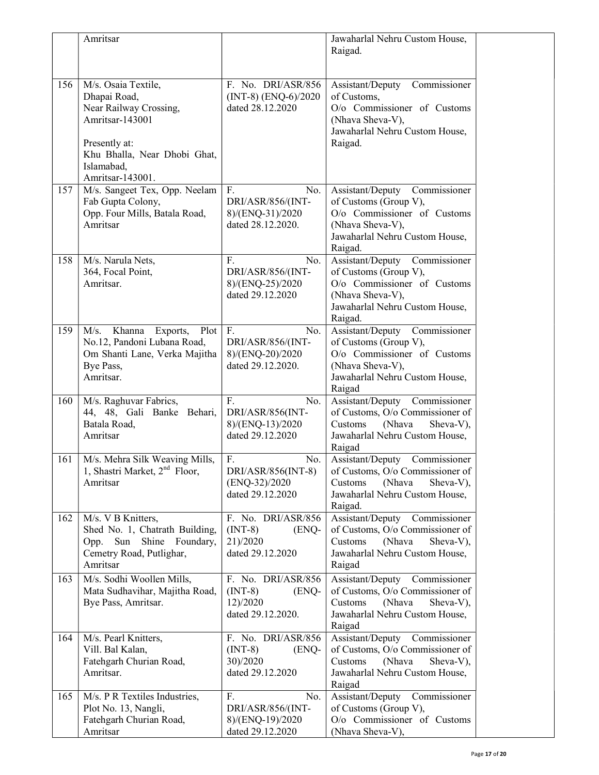|     | Amritsar                                                                                                                                                            |                                                                           | Jawaharlal Nehru Custom House,<br>Raigad.                                                                                                                 |  |
|-----|---------------------------------------------------------------------------------------------------------------------------------------------------------------------|---------------------------------------------------------------------------|-----------------------------------------------------------------------------------------------------------------------------------------------------------|--|
| 156 | M/s. Osaia Textile,<br>Dhapai Road,<br>Near Railway Crossing,<br>Amritsar-143001<br>Presently at:<br>Khu Bhalla, Near Dhobi Ghat,<br>Islamabad,<br>Amritsar-143001. | F. No. DRI/ASR/856<br>$(INT-8) (ENQ-6)/2020$<br>dated 28.12.2020          | Commissioner<br>Assistant/Deputy<br>of Customs,<br>O/o Commissioner of Customs<br>(Nhava Sheva-V),<br>Jawaharlal Nehru Custom House,<br>Raigad.           |  |
| 157 | M/s. Sangeet Tex, Opp. Neelam<br>Fab Gupta Colony,<br>Opp. Four Mills, Batala Road,<br>Amritsar                                                                     | F.<br>No.<br>DRI/ASR/856/(INT-<br>8)/(ENQ-31)/2020<br>dated 28.12.2020.   | Assistant/Deputy<br>Commissioner<br>of Customs (Group V),<br>O/o Commissioner of Customs<br>(Nhava Sheva-V),<br>Jawaharlal Nehru Custom House,<br>Raigad. |  |
| 158 | M/s. Narula Nets,<br>364, Focal Point,<br>Amritsar.                                                                                                                 | F.<br>No.<br>DRI/ASR/856/(INT-<br>8)/(ENQ-25)/2020<br>dated 29.12.2020    | Assistant/Deputy<br>Commissioner<br>of Customs (Group V),<br>O/o Commissioner of Customs<br>(Nhava Sheva-V),<br>Jawaharlal Nehru Custom House,<br>Raigad. |  |
| 159 | M/s.<br>Khanna<br>Plot<br>Exports,<br>No.12, Pandoni Lubana Road,<br>Om Shanti Lane, Verka Majitha<br>Bye Pass,<br>Amritsar.                                        | F.<br>No.<br>DRI/ASR/856/(INT-<br>8)/(ENQ-20)/2020<br>dated 29.12.2020.   | Assistant/Deputy Commissioner<br>of Customs (Group V),<br>O/o Commissioner of Customs<br>(Nhava Sheva-V),<br>Jawaharlal Nehru Custom House,<br>Raigad     |  |
| 160 | M/s. Raghuvar Fabrics,<br>44, 48, Gali Banke Behari,<br>Batala Road,<br>Amritsar                                                                                    | F.<br>No.<br>DRI/ASR/856(INT-<br>8)/(ENQ-13)/2020<br>dated 29.12.2020     | Assistant/Deputy Commissioner<br>of Customs, O/o Commissioner of<br>Customs<br>(Nhava<br>Sheva-V),<br>Jawaharlal Nehru Custom House,<br>Raigad            |  |
| 161 | M/s. Mehra Silk Weaving Mills,<br>1, Shastri Market, 2 <sup>nd</sup> Floor,<br>Amritsar                                                                             | F.<br>No.<br>DRI/ASR/856(INT-8)<br>$(ENQ-32)/2020$<br>dated 29.12.2020    | Assistant/Deputy<br>Commissioner<br>of Customs, O/o Commissioner of<br>Sheva-V),<br>(Nhava<br>Customs<br>Jawaharlal Nehru Custom House,<br>Raigad.        |  |
| 162 | M/s. V B Knitters,<br>Shed No. 1, Chatrath Building,<br>Opp. Sun Shine Foundary,<br>Cemetry Road, Putlighar,<br>Amritsar                                            | F. No. DRI/ASR/856<br>$(INT-8)$<br>(ENQ-<br>21)/2020<br>dated 29.12.2020  | Assistant/Deputy Commissioner<br>of Customs, O/o Commissioner of<br>(Nhava<br>Customs<br>Sheva-V),<br>Jawaharlal Nehru Custom House,<br>Raigad            |  |
| 163 | M/s. Sodhi Woollen Mills,<br>Mata Sudhavihar, Majitha Road,<br>Bye Pass, Amritsar.                                                                                  | F. No. DRI/ASR/856<br>$(INT-8)$<br>(ENQ-<br>12)/2020<br>dated 29.12.2020. | Assistant/Deputy<br>Commissioner<br>of Customs, O/o Commissioner of<br>Customs<br>(Nhava<br>Sheva-V),<br>Jawaharlal Nehru Custom House,<br>Raigad         |  |
| 164 | M/s. Pearl Knitters,<br>Vill. Bal Kalan,<br>Fatehgarh Churian Road,<br>Amritsar.                                                                                    | F. No. DRI/ASR/856<br>$(INT-8)$<br>(ENQ-<br>30)/2020<br>dated 29.12.2020  | Commissioner<br>Assistant/Deputy<br>of Customs, O/o Commissioner of<br>(Nhava<br>Sheva-V),<br>Customs<br>Jawaharlal Nehru Custom House,<br>Raigad         |  |
| 165 | M/s. P R Textiles Industries,<br>Plot No. 13, Nangli,<br>Fatehgarh Churian Road,<br>Amritsar                                                                        | F.<br>No.<br>DRI/ASR/856/(INT-<br>8)/(ENQ-19)/2020<br>dated 29.12.2020    | Assistant/Deputy Commissioner<br>of Customs (Group V),<br>O/o Commissioner of Customs<br>(Nhava Sheva-V),                                                 |  |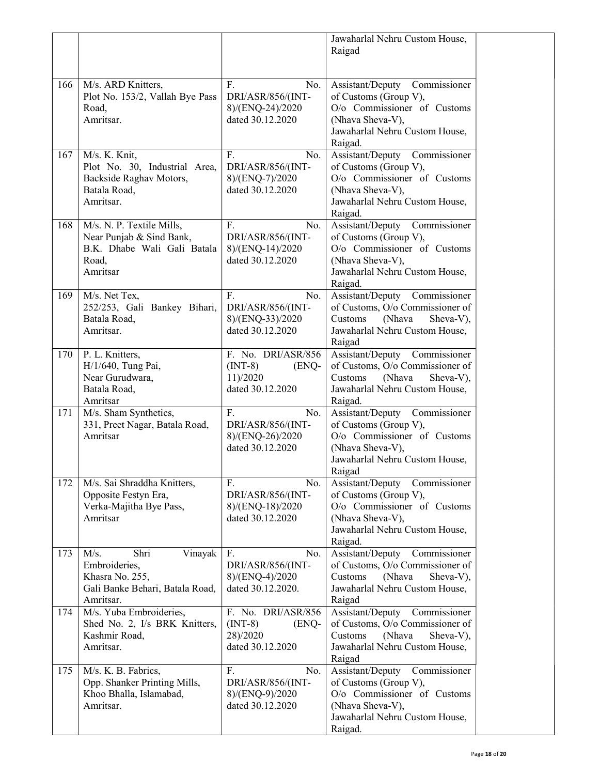|     |                                                                                                             |                                                                                    | Jawaharlal Nehru Custom House,<br>Raigad                                                                                                                  |
|-----|-------------------------------------------------------------------------------------------------------------|------------------------------------------------------------------------------------|-----------------------------------------------------------------------------------------------------------------------------------------------------------|
| 166 | M/s. ARD Knitters,<br>Plot No. 153/2, Vallah Bye Pass<br>Road,<br>Amritsar.                                 | F.<br>No.<br>DRI/ASR/856/(INT-<br>8)/(ENQ-24)/2020<br>dated 30.12.2020             | Assistant/Deputy<br>Commissioner<br>of Customs (Group V),<br>O/o Commissioner of Customs<br>(Nhava Sheva-V),<br>Jawaharlal Nehru Custom House,<br>Raigad. |
| 167 | M/s. K. Knit,<br>Plot No. 30, Industrial Area,<br>Backside Raghav Motors,<br>Batala Road,<br>Amritsar.      | F.<br>No.<br>DRI/ASR/856/(INT-<br>8)/(ENQ-7)/2020<br>dated 30.12.2020              | Assistant/Deputy<br>Commissioner<br>of Customs (Group V),<br>O/o Commissioner of Customs<br>(Nhava Sheva-V),<br>Jawaharlal Nehru Custom House,<br>Raigad. |
| 168 | M/s. N. P. Textile Mills,<br>Near Punjab & Sind Bank,<br>B.K. Dhabe Wali Gali Batala<br>Road,<br>Amritsar   | F.<br>No.<br>DRI/ASR/856/(INT-<br>8)/(ENQ-14)/2020<br>dated 30.12.2020             | Assistant/Deputy<br>Commissioner<br>of Customs (Group V),<br>O/o Commissioner of Customs<br>(Nhava Sheva-V),<br>Jawaharlal Nehru Custom House,<br>Raigad. |
| 169 | M/s. Net Tex,<br>252/253, Gali Bankey Bihari,<br>Batala Road,<br>Amritsar.                                  | F.<br>No.<br>DRI/ASR/856/(INT-<br>8)/(ENQ-33)/2020<br>dated 30.12.2020             | Assistant/Deputy<br>Commissioner<br>of Customs, O/o Commissioner of<br>Sheva-V),<br>Customs<br>(Nhava<br>Jawaharlal Nehru Custom House,<br>Raigad         |
| 170 | P. L. Knitters,<br>H/1/640, Tung Pai,<br>Near Gurudwara,<br>Batala Road,<br>Amritsar                        | F. No. DRI/ASR/856<br>$(INT-8)$<br>(ENQ-<br>11)/2020<br>dated 30.12.2020           | Assistant/Deputy<br>Commissioner<br>of Customs, O/o Commissioner of<br>Customs<br>(Nhava<br>Sheva-V),<br>Jawaharlal Nehru Custom House,<br>Raigad.        |
| 171 | M/s. Sham Synthetics,<br>331, Preet Nagar, Batala Road,<br>Amritsar                                         | F.<br>No.<br>DRI/ASR/856/(INT-<br>8)/(ENQ-26)/2020<br>dated 30.12.2020             | Assistant/Deputy<br>Commissioner<br>of Customs (Group V),<br>O/o Commissioner of Customs<br>(Nhava Sheva-V),<br>Jawaharlal Nehru Custom House,<br>Raigad  |
| 172 | M/s. Sai Shraddha Knitters,<br>Opposite Festyn Era,<br>Verka-Majitha Bye Pass,<br>Amritsar                  | F.<br>No.<br>DRI/ASR/856/(INT-<br>8)/(ENQ-18)/2020<br>dated 30.12.2020             | Commissioner<br>Assistant/Deputy<br>of Customs (Group V),<br>O/o Commissioner of Customs<br>(Nhava Sheva-V),<br>Jawaharlal Nehru Custom House,<br>Raigad. |
| 173 | M/s.<br>Vinayak<br>Shri<br>Embroideries,<br>Khasra No. 255,<br>Gali Banke Behari, Batala Road,<br>Amritsar. | F <sub>r</sub><br>No.<br>DRI/ASR/856/(INT-<br>8)/(ENQ-4)/2020<br>dated 30.12.2020. | Assistant/Deputy Commissioner<br>of Customs, O/o Commissioner of<br>Customs<br>(Nhava<br>Sheva-V),<br>Jawaharlal Nehru Custom House,<br>Raigad            |
| 174 | M/s. Yuba Embroideries,<br>Shed No. 2, I/s BRK Knitters,<br>Kashmir Road,<br>Amritsar.                      | F. No. DRI/ASR/856<br>$(INT-8)$<br>(ENQ-<br>28)/2020<br>dated 30.12.2020           | Assistant/Deputy<br>Commissioner<br>of Customs, O/o Commissioner of<br>Customs<br>(Nhava<br>Sheva-V),<br>Jawaharlal Nehru Custom House,<br>Raigad         |
| 175 | M/s. K. B. Fabrics,<br>Opp. Shanker Printing Mills,<br>Khoo Bhalla, Islamabad,<br>Amritsar.                 | F.<br>No.<br>DRI/ASR/856/(INT-<br>8)/(ENQ-9)/2020<br>dated 30.12.2020              | Assistant/Deputy<br>Commissioner<br>of Customs (Group V),<br>O/o Commissioner of Customs<br>(Nhava Sheva-V),<br>Jawaharlal Nehru Custom House,<br>Raigad. |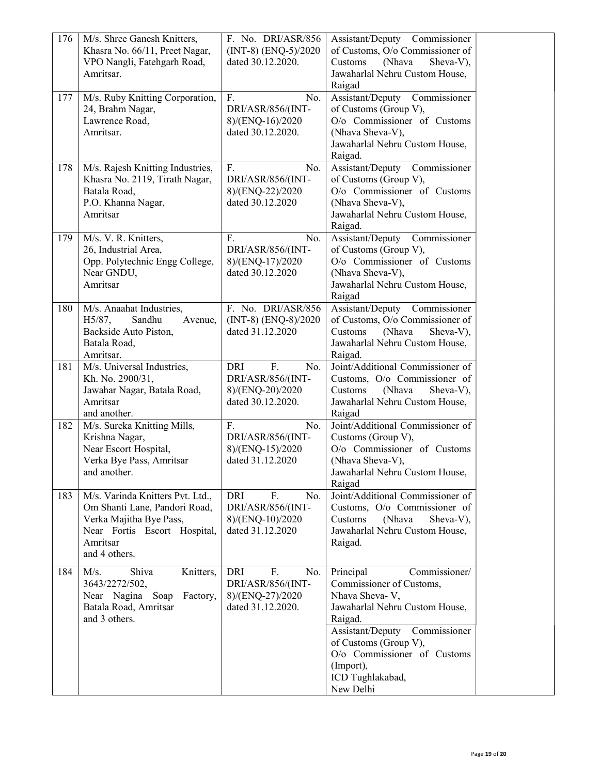| 176 | M/s. Shree Ganesh Knitters,      | F. No. DRI/ASR/856                    | Assistant/Deputy Commissioner    |  |
|-----|----------------------------------|---------------------------------------|----------------------------------|--|
|     | Khasra No. 66/11, Preet Nagar,   | $(INT-8) (ENQ-5)/2020$                | of Customs, O/o Commissioner of  |  |
|     | VPO Nangli, Fatehgarh Road,      | dated 30.12.2020.                     | Sheva-V),<br>Customs<br>(Nhava   |  |
|     | Amritsar.                        |                                       | Jawaharlal Nehru Custom House,   |  |
|     |                                  |                                       | Raigad                           |  |
| 177 | M/s. Ruby Knitting Corporation,  | F.<br>No.                             | Assistant/Deputy Commissioner    |  |
|     | 24, Brahm Nagar,                 | DRI/ASR/856/(INT-                     | of Customs (Group V),            |  |
|     | Lawrence Road,                   | 8)/(ENQ-16)/2020                      | O/o Commissioner of Customs      |  |
|     | Amritsar.                        | dated 30.12.2020.                     | (Nhava Sheva-V),                 |  |
|     |                                  |                                       | Jawaharlal Nehru Custom House,   |  |
|     |                                  |                                       | Raigad.                          |  |
| 178 | M/s. Rajesh Knitting Industries, | F.<br>No.                             | Assistant/Deputy Commissioner    |  |
|     | Khasra No. 2119, Tirath Nagar,   | DRI/ASR/856/(INT-                     | of Customs (Group V),            |  |
|     | Batala Road,                     | 8)/(ENQ-22)/2020                      | O/o Commissioner of Customs      |  |
|     | P.O. Khanna Nagar,               | dated 30.12.2020                      | (Nhava Sheva-V),                 |  |
|     | Amritsar                         |                                       | Jawaharlal Nehru Custom House,   |  |
|     |                                  |                                       | Raigad.                          |  |
| 179 | M/s. V. R. Knitters,             | F.<br>No.                             | Assistant/Deputy Commissioner    |  |
|     | 26, Industrial Area,             | DRI/ASR/856/(INT-                     | of Customs (Group V),            |  |
|     | Opp. Polytechnic Engg College,   | 8)/(ENQ-17)/2020                      | O/o Commissioner of Customs      |  |
|     | Near GNDU,                       | dated 30.12.2020                      | (Nhava Sheva-V),                 |  |
|     | Amritsar                         |                                       | Jawaharlal Nehru Custom House,   |  |
|     |                                  |                                       | Raigad                           |  |
| 180 | M/s. Anaahat Industries,         | F. No. DRI/ASR/856                    | Assistant/Deputy Commissioner    |  |
|     | H5/87,<br>Sandhu<br>Avenue,      | $(INT-8) (ENQ-8)/2020$                | of Customs, O/o Commissioner of  |  |
|     | Backside Auto Piston,            | dated 31.12.2020                      | Sheva-V),<br>Customs<br>(Nhava   |  |
|     | Batala Road,                     |                                       | Jawaharlal Nehru Custom House,   |  |
|     | Amritsar.                        |                                       | Raigad.                          |  |
| 181 | M/s. Universal Industries,       | $\overline{F}$ .<br><b>DRI</b><br>No. | Joint/Additional Commissioner of |  |
|     | Kh. No. 2900/31,                 | DRI/ASR/856/(INT-                     | Customs, O/o Commissioner of     |  |
|     | Jawahar Nagar, Batala Road,      | 8)/(ENQ-20)/2020                      | (Nhava<br>Sheva-V),<br>Customs   |  |
|     | Amritsar                         | dated 30.12.2020.                     | Jawaharlal Nehru Custom House,   |  |
|     | and another.                     |                                       | Raigad                           |  |
| 182 | M/s. Sureka Knitting Mills,      | F <sub>r</sub><br>No.                 | Joint/Additional Commissioner of |  |
|     | Krishna Nagar,                   | DRI/ASR/856/(INT-                     | Customs (Group V),               |  |
|     | Near Escort Hospital,            | 8)/(ENQ-15)/2020                      | O/o Commissioner of Customs      |  |
|     | Verka Bye Pass, Amritsar         | dated 31.12.2020                      | (Nhava Sheva-V),                 |  |
|     | and another.                     |                                       | Jawaharlal Nehru Custom House,   |  |
|     |                                  |                                       | Raigad                           |  |
| 183 | M/s. Varinda Knitters Pvt. Ltd., | DRI<br>F.<br>No.                      | Joint/Additional Commissioner of |  |
|     | Om Shanti Lane, Pandori Road,    | DRI/ASR/856/(INT-                     | Customs, O/o Commissioner of     |  |
|     | Verka Majitha Bye Pass,          | 8)/(ENQ-10)/2020                      | (Nhava<br>Customs<br>Sheva-V),   |  |
|     | Near Fortis Escort Hospital,     | dated 31.12.2020                      | Jawaharlal Nehru Custom House,   |  |
|     | Amritsar                         |                                       | Raigad.                          |  |
|     | and 4 others.                    |                                       |                                  |  |
| 184 | Shiva<br>M/s.<br>Knitters,       | F.<br><b>DRI</b><br>No.               | Principal<br>Commissioner/       |  |
|     | 3643/2272/502,                   | DRI/ASR/856/(INT-                     | Commissioner of Customs,         |  |
|     | Near Nagina Soap<br>Factory,     | 8)/(ENQ-27)/2020                      | Nhava Sheva-V,                   |  |
|     | Batala Road, Amritsar            | dated 31.12.2020.                     | Jawaharlal Nehru Custom House,   |  |
|     | and 3 others.                    |                                       | Raigad.                          |  |
|     |                                  |                                       | Assistant/Deputy<br>Commissioner |  |
|     |                                  |                                       | of Customs (Group V),            |  |
|     |                                  |                                       | O/o Commissioner of Customs      |  |
|     |                                  |                                       | (Import),                        |  |
|     |                                  |                                       | ICD Tughlakabad,                 |  |
|     |                                  |                                       | New Delhi                        |  |
|     |                                  |                                       |                                  |  |